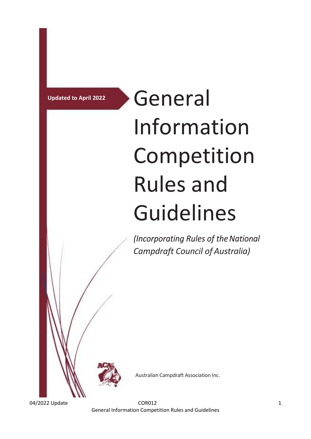# **Updated to April 2022** General Information Competition Rules and Guidelines

(Incorporating Rules of the National *Campdraft Council of Australia)*



Australian Campdraft Association Inc.

04/2022 Update 2012 2022 Update 2012 2022 2022 1 General Information Competition Rules and Guidelines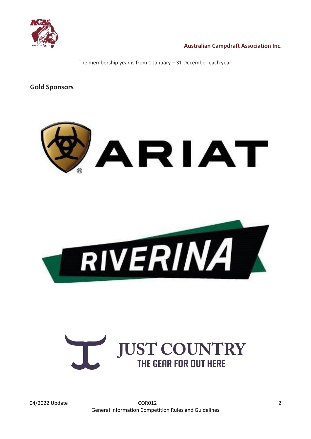

The membership year is from 1 January – 31 December each year.

**Gold Sponsors**





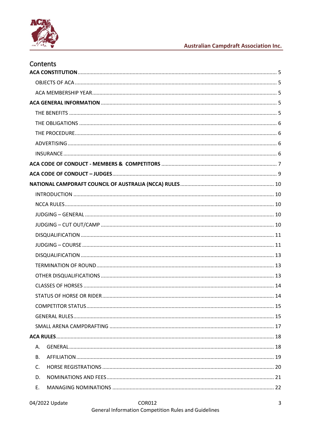

# **Australian Campdraft Association Inc.**

| Contents       |  |
|----------------|--|
|                |  |
|                |  |
|                |  |
|                |  |
|                |  |
|                |  |
|                |  |
|                |  |
|                |  |
|                |  |
|                |  |
|                |  |
|                |  |
|                |  |
|                |  |
|                |  |
|                |  |
|                |  |
|                |  |
|                |  |
|                |  |
|                |  |
|                |  |
|                |  |
|                |  |
|                |  |
|                |  |
| А.             |  |
| <b>B.</b>      |  |
| $\mathsf{C}$ . |  |
| D.             |  |
| E.             |  |
|                |  |

### COR012 General Information Competition Rules and Guidelines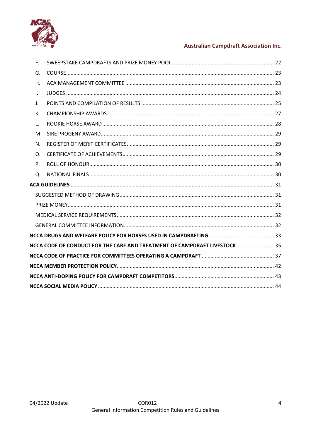

# **Australian Campdraft Association Inc.**

| F.           |                                                                            |  |
|--------------|----------------------------------------------------------------------------|--|
| G.           |                                                                            |  |
| H.           |                                                                            |  |
| $\mathsf{L}$ |                                                                            |  |
| J.           |                                                                            |  |
| К.           |                                                                            |  |
| L.           |                                                                            |  |
| M.           |                                                                            |  |
| N.           |                                                                            |  |
| $\Omega$ .   |                                                                            |  |
| Ρ.           |                                                                            |  |
| $\Omega$ .   |                                                                            |  |
|              |                                                                            |  |
|              |                                                                            |  |
|              |                                                                            |  |
|              |                                                                            |  |
|              |                                                                            |  |
|              |                                                                            |  |
|              | NCCA CODE OF CONDUCT FOR THE CARE AND TREATMENT OF CAMPDRAFT LIVESTOCK  35 |  |
|              |                                                                            |  |
|              |                                                                            |  |
|              |                                                                            |  |
|              |                                                                            |  |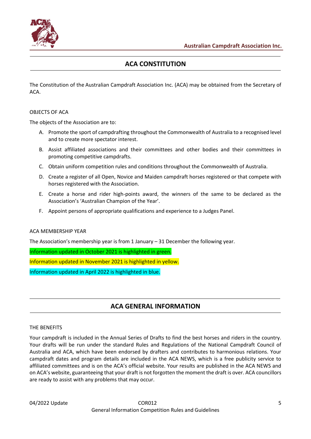

# **ACA CONSTITUTION**

<span id="page-4-0"></span>The Constitution of the Australian Campdraft Association Inc. (ACA) may be obtained from the Secretary of ACA.

#### <span id="page-4-1"></span>OBJECTS OF ACA

The objects of the Association are to:

- A. Promote the sport of campdrafting throughout the Commonwealth of Australia to a recognised level and to create more spectator interest.
- B. Assist affiliated associations and their committees and other bodies and their committees in promoting competitive campdrafts.
- C. Obtain uniform competition rules and conditions throughout the Commonwealth of Australia.
- D. Create a register of all Open, Novice and Maiden campdraft horses registered or that compete with horses registered with the Association.
- E. Create a horse and rider high-points award, the winners of the same to be declared as the Association's 'Australian Champion of the Year'.
- F. Appoint persons of appropriate qualifications and experience to a Judges Panel.

#### <span id="page-4-2"></span>ACA MEMBERSHIP YEAR

The Association's membership year is from 1 January – 31 December the following year.

Information updated in October 2021 is highlighted in green.

Information updated in November 2021 is highlighted in yellow.

Information updated in April 2022 is highlighted in blue.

# **ACA GENERAL INFORMATION**

#### <span id="page-4-4"></span><span id="page-4-3"></span>THE BENEFITS

Your campdraft is included in the Annual Series of Drafts to find the best horses and riders in the country. Your drafts will be run under the standard Rules and Regulations of the National Campdraft Council of Australia and ACA, which have been endorsed by drafters and contributes to harmonious relations. Your campdraft dates and program details are included in the ACA NEWS, which is a free publicity service to affiliated committees and is on the ACA's official website. Your results are published in the ACA NEWS and on ACA's website, guaranteeing that your draft is not forgotten the moment the draft is over. ACA councillors are ready to assist with any problems that may occur.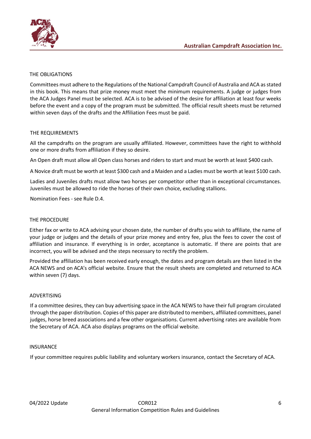

#### <span id="page-5-0"></span>THE OBLIGATIONS

Committees must adhere to the Regulations of the National Campdraft Council of Australia and ACA as stated in this book. This means that prize money must meet the minimum requirements. A judge or judges from the ACA Judges Panel must be selected. ACA is to be advised of the desire for affiliation at least four weeks before the event and a copy of the program must be submitted. The official result sheets must be returned within seven days of the drafts and the Affiliation Fees must be paid.

### THE REQUIREMENTS

All the campdrafts on the program are usually affiliated. However, committees have the right to withhold one or more drafts from affiliation if they so desire.

An Open draft must allow all Open class horses and riders to start and must be worth at least \$400 cash.

A Novice draft must be worth at least \$300 cash and a Maiden and a Ladies must be worth at least \$100 cash.

Ladies and Juveniles drafts must allow two horses per competitor other than in exceptional circumstances. Juveniles must be allowed to ride the horses of their own choice, excluding stallions.

Nomination Fees - see Rule D.4.

#### <span id="page-5-1"></span>THE PROCEDURE

Either fax or write to ACA advising your chosen date, the number of drafts you wish to affiliate, the name of your judge or judges and the details of your prize money and entry fee, plus the fees to cover the cost of affiliation and insurance. If everything is in order, acceptance is automatic. If there are points that are incorrect, you will be advised and the steps necessary to rectify the problem.

Provided the affiliation has been received early enough, the dates and program details are then listed in the ACA NEWS and on ACA's official website. Ensure that the result sheets are completed and returned to ACA within seven (7) days.

#### <span id="page-5-2"></span>ADVERTISING

If a committee desires, they can buy advertising space in the ACA NEWS to have their full program circulated through the paper distribution. Copies of this paper are distributed to members, affiliated committees, panel judges, horse breed associations and a few other organisations. Current advertising rates are available from the Secretary of ACA. ACA also displays programs on the official website.

#### <span id="page-5-3"></span>**INSURANCE**

If your committee requires public liability and voluntary workers insurance, contact the Secretary of ACA.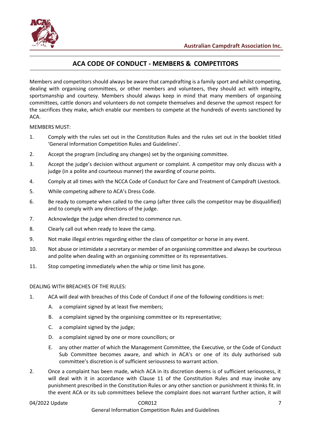

# **ACA CODE OF CONDUCT - MEMBERS & COMPETITORS**

<span id="page-6-0"></span>Members and competitors should always be aware that campdrafting is a family sport and whilst competing, dealing with organising committees, or other members and volunteers, they should act with integrity, sportsmanship and courtesy. Members should always keep in mind that many members of organising committees, cattle donors and volunteers do not compete themselves and deserve the upmost respect for the sacrifices they make, which enable our members to compete at the hundreds of events sanctioned by ACA.

MEMBERS MUST:

- 1. Comply with the rules set out in the Constitution Rules and the rules set out in the booklet titled 'General Information Competition Rules and Guidelines'.
- 2. Accept the program (including any changes) set by the organising committee.
- 3. Accept the judge's decision without argument or complaint. A competitor may only discuss with a judge (in a polite and courteous manner) the awarding of course points.
- 4. Comply at all times with the NCCA Code of Conduct for Care and Treatment of Campdraft Livestock.
- 5. While competing adhere to ACA's Dress Code.
- 6. Be ready to compete when called to the camp (after three calls the competitor may be disqualified) and to comply with any directions of the judge.
- 7. Acknowledge the judge when directed to commence run.
- 8. Clearly call out when ready to leave the camp.
- 9. Not make illegal entries regarding either the class of competitor or horse in any event.
- 10. Not abuse or intimidate a secretary or member of an organising committee and always be courteous and polite when dealing with an organising committee or its representatives.
- 11. Stop competing immediately when the whip or time limit has gone.

#### DEALING WITH BREACHES OF THE RULES:

- 1. ACA will deal with breaches of this Code of Conduct if one of the following conditions is met:
	- A. a complaint signed by at least five members;
	- B. a complaint signed by the organising committee or its representative;
	- C. a complaint signed by the judge;
	- D. a complaint signed by one or more councillors; or
	- E. any other matter of which the Management Committee, the Executive, or the Code of Conduct Sub Committee becomes aware, and which in ACA's or one of its duly authorised sub committee's discretion is of sufficient seriousness to warrant action.
- 2. Once a complaint has been made, which ACA in its discretion deems is of sufficient seriousness, it will deal with it in accordance with Clause 11 of the Constitution Rules and may invoke any punishment prescribed in the Constitution Rules or any other sanction or punishment it thinks fit. In the event ACA or its sub committees believe the complaint does not warrant further action, it will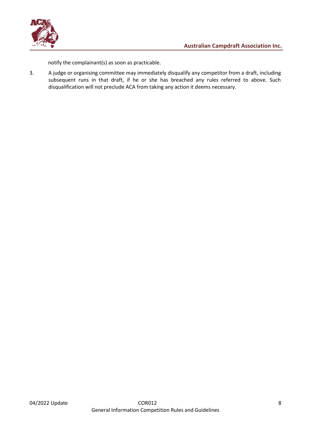

notify the complainant(s) as soon as practicable.

3. A judge or organising committee may immediately disqualify any competitor from a draft, including subsequent runs in that draft, if he or she has breached any rules referred to above. Such disqualification will not preclude ACA from taking any action it deems necessary.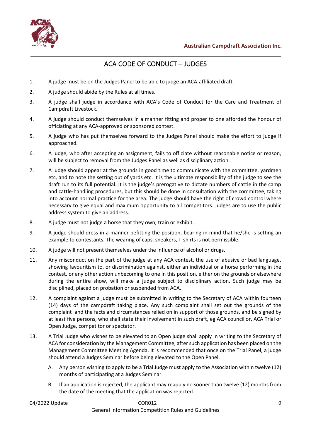

# ACA CODE OF CONDUCT – JUDGES

- <span id="page-8-0"></span>1. A judge must be on the Judges Panel to be able to judge an ACA-affiliated draft.
- 2. A judge should abide by the Rules at all times.
- 3. A judge shall judge in accordance with ACA's Code of Conduct for the Care and Treatment of Campdraft Livestock.
- 4. A judge should conduct themselves in a manner fitting and proper to one afforded the honour of officiating at any ACA-approved or sponsored contest.
- 5. A judge who has put themselves forward to the Judges Panel should make the effort to judge if approached.
- 6. A judge, who after accepting an assignment, fails to officiate without reasonable notice or reason, will be subject to removal from the Judges Panel as well as disciplinary action.
- 7. A judge should appear at the grounds in good time to communicate with the committee, yardmen etc, and to note the setting out of yards etc. It is the ultimate responsibility of the judge to see the draft run to its full potential. It is the judge's prerogative to dictate numbers of cattle in the camp and cattle-handling procedures, but this should be done in consultation with the committee, taking into account normal practice for the area. The judge should have the right of crowd control where necessary to give equal and maximum opportunity to all competitors. Judges are to use the public address system to give an address.
- 8. A judge must not judge a horse that they own, train or exhibit.
- 9. A judge should dress in a manner befitting the position, bearing in mind that he/she is setting an example to contestants. The wearing of caps, sneakers, T-shirts is not permissible.
- 10. A judge will not present themselves under the influence of alcohol or drugs.
- 11. Any misconduct on the part of the judge at any ACA contest, the use of abusive or bad language, showing favouritism to, or discrimination against, either an individual or a horse performing in the contest, or any other action unbecoming to one in this position, either on the grounds or elsewhere during the entire show, will make a judge subject to disciplinary action. Such judge may be disciplined, placed on probation or suspended from ACA.
- 12. A complaint against a judge must be submitted in writing to the Secretary of ACA within fourteen (14) days of the campdraft taking place. Any such complaint shall set out the grounds of the complaint and the facts and circumstances relied on in support of those grounds, and be signed by at least five persons, who shall state their involvement in such draft, eg ACA councillor, ACA Trial or Open Judge, competitor or spectator.
- 13. A Trial Judge who wishes to be elevated to an Open judge shall apply in writing to the Secretary of ACA for consideration by the Management Committee, after such application has been placed on the Management Committee Meeting Agenda. It is recommended that once on the Trial Panel, a judge should attend a Judges Seminar before being elevated to the Open Panel.
	- A. Any person wishing to apply to be a Trial Judge must apply to the Association within twelve (12) months of participating at a Judges Seminar.
	- B. If an application is rejected, the applicant may reapply no sooner than twelve (12) months from the date of the meeting that the application was rejected.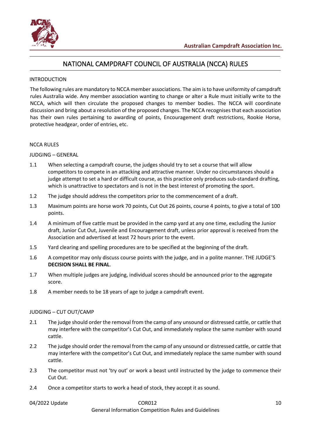

# NATIONAL CAMPDRAFT COUNCIL OF AUSTRALIA (NCCA) RULES

#### <span id="page-9-1"></span><span id="page-9-0"></span>INTRODUCTION

The following rules are mandatory to NCCA member associations. The aim is to have uniformity of campdraft rules Australia wide. Any member association wanting to change or alter a Rule must initially write to the NCCA, which will then circulate the proposed changes to member bodies. The NCCA will coordinate discussion and bring about a resolution of the proposed changes. The NCCA recognises that each association has their own rules pertaining to awarding of points, Encouragement draft restrictions, Rookie Horse, protective headgear, order of entries, etc.

#### <span id="page-9-2"></span>NCCA RULES

#### <span id="page-9-3"></span>JUDGING – GENERAL

- 1.1 When selecting a campdraft course, the judges should try to set a course that will allow competitors to compete in an attacking and attractive manner. Under no circumstances should a judge attempt to set a hard or difficult course, as this practice only produces sub-standard drafting, which is unattractive to spectators and is not in the best interest of promoting the sport.
- 1.2 The judge should address the competitors prior to the commencement of a draft.
- 1.3 Maximum points are horse work 70 points, Cut Out 26 points, course 4 points, to give a total of 100 points.
- 1.4 A minimum of five cattle must be provided in the camp yard at any one time, excluding the Junior draft, Junior Cut Out, Juvenile and Encouragement draft, unless prior approval is received from the Association and advertised at least 72 hours prior to the event.
- 1.5 Yard clearing and spelling procedures are to be specified at the beginning of the draft.
- 1.6 A competitor may only discuss course points with the judge, and in a polite manner. THE JUDGE'S **DECISION SHALL BE FINAL**.
- 1.7 When multiple judges are judging, individual scores should be announced prior to the aggregate score.
- 1.8 A member needs to be 18 years of age to judge a campdraft event.

#### <span id="page-9-4"></span>JUDGING – CUT OUT/CAMP

- 2.1 The judge should order the removal from the camp of any unsound or distressed cattle, or cattle that may interfere with the competitor's Cut Out, and immediately replace the same number with sound cattle.
- 2.2 The judge should order the removal from the camp of any unsound or distressed cattle, or cattle that may interfere with the competitor's Cut Out, and immediately replace the same number with sound cattle.
- 2.3 The competitor must not 'try out' or work a beast until instructed by the judge to commence their Cut Out.
- 2.4 Once a competitor starts to work a head of stock, they accept it as sound.

04/2022 Update COR012 10

General Information Competition Rules and Guidelines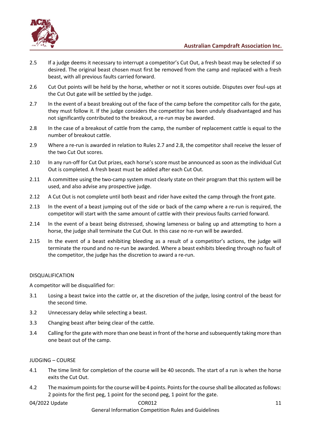

- 2.5 If a judge deems it necessary to interrupt a competitor's Cut Out, a fresh beast may be selected if so desired. The original beast chosen must first be removed from the camp and replaced with a fresh beast, with all previous faults carried forward.
- 2.6 Cut Out points will be held by the horse, whether or not it scores outside. Disputes over foul-ups at the Cut Out gate will be settled by the judge.
- 2.7 In the event of a beast breaking out of the face of the camp before the competitor calls for the gate, they must follow it. If the judge considers the competitor has been unduly disadvantaged and has not significantly contributed to the breakout, a re-run may be awarded.
- 2.8 In the case of a breakout of cattle from the camp, the number of replacement cattle is equal to the number of breakout cattle.
- 2.9 Where a re-run is awarded in relation to Rules 2.7 and 2.8, the competitor shall receive the lesser of the two Cut Out scores.
- 2.10 In any run-off for Cut Out prizes, each horse's score must be announced as soon as the individual Cut Out is completed. A fresh beast must be added after each Cut Out.
- 2.11 A committee using the two-camp system must clearly state on their program that this system will be used, and also advise any prospective judge.
- 2.12 A Cut Out is not complete until both beast and rider have exited the camp through the front gate.
- 2.13 In the event of a beast jumping out of the side or back of the camp where a re-run is required, the competitor will start with the same amount of cattle with their previous faults carried forward.
- 2.14 In the event of a beast being distressed, showing lameness or baling up and attempting to horn a horse, the judge shall terminate the Cut Out. In this case no re-run will be awarded.
- 2.15 In the event of a beast exhibiting bleeding as a result of a competitor's actions, the judge will terminate the round and no re-run be awarded. Where a beast exhibits bleeding through no fault of the competitor, the judge has the discretion to award a re-run.

#### <span id="page-10-0"></span>DISQUALIFICATION

A competitor will be disqualified for:

- 3.1 Losing a beast twice into the cattle or, at the discretion of the judge, losing control of the beast for the second time.
- 3.2 Unnecessary delay while selecting a beast.
- 3.3 Changing beast after being clear of the cattle.
- 3.4 Calling forthe gate with more than one beast in front of the horse and subsequently taking more than one beast out of the camp.

#### <span id="page-10-1"></span>JUDGING – COURSE

- 4.1 The time limit for completion of the course will be 40 seconds. The start of a run is when the horse exits the Cut Out.
- 4.2 The maximum points for the course will be 4 points. Points for the course shall be allocated as follows: 2 points for the first peg, 1 point for the second peg, 1 point for the gate.

#### 04/2022 Update 11 2012 COR012 2012 2022 Update 11

General Information Competition Rules and Guidelines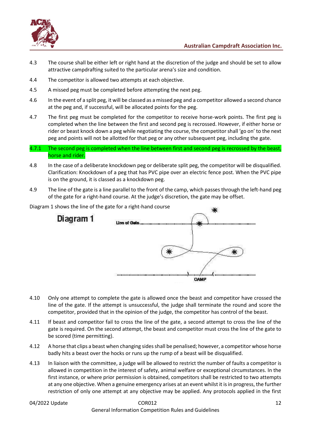

- 4.3 The course shall be either left or right hand at the discretion of the judge and should be set to allow attractive campdrafting suited to the particular arena's size and condition.
- 4.4 The competitor is allowed two attempts at each objective.
- 4.5 A missed peg must be completed before attempting the next peg.
- 4.6 In the event of a split peg, it will be classed as a missed peg and a competitor allowed a second chance at the peg and, if successful, will be allocated points for the peg.
- 4.7 The first peg must be completed for the competitor to receive horse-work points. The first peg is completed when the line between the first and second peg is recrossed. However, if either horse or rider or beast knock down a peg while negotiating the course, the competitor shall 'go on' to the next peg and points will not be allotted for that peg or any other subsequent peg, including the gate.
- 4.7.1 The second peg is completed when the line between first and second peg is recrossed by the beast, horse and rider.
- 4.8 In the case of a deliberate knockdown peg or deliberate split peg, the competitor will be disqualified. Clarification: Knockdown of a peg that has PVC pipe over an electric fence post. When the PVC pipe is on the ground, it is classed as a knockdown peg.
- 4.9 The line of the gate is a line parallel to the front of the camp, which passes through the left-hand peg of the gate for a right-hand course. At the judge's discretion, the gate may be offset.



Diagram 1 shows the line of the gate for a right-hand course

- 4.10 Only one attempt to complete the gate is allowed once the beast and competitor have crossed the line of the gate. If the attempt is unsuccessful, the judge shall terminate the round and score the competitor, provided that in the opinion of the judge, the competitor has control of the beast.
- 4.11 If beast and competitor fail to cross the line of the gate, a second attempt to cross the line of the gate is required. On the second attempt, the beast and competitor must cross the line of the gate to be scored (time permitting).
- 4.12 A horse that clips a beast when changing sides shall be penalised; however, a competitor whose horse badly hits a beast over the hocks or runs up the rump of a beast will be disqualified.
- 4.13 In liaison with the committee, a judge will be allowed to restrict the number of faults a competitor is allowed in competition in the interest of safety, animal welfare or exceptional circumstances. In the first instance, or where prior permission is obtained, competitors shall be restricted to two attempts at any one objective. When a genuine emergency arises at an event whilst it is in progress, the further restriction of only one attempt at any objective may be applied. Any protocols applied in the first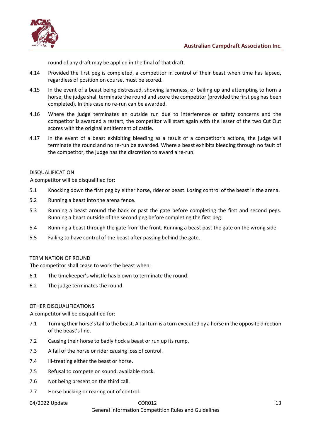

round of any draft may be applied in the final of that draft.

- 4.14 Provided the first peg is completed, a competitor in control of their beast when time has lapsed, regardless of position on course, must be scored.
- 4.15 In the event of a beast being distressed, showing lameness, or bailing up and attempting to horn a horse, the judge shall terminate the round and score the competitor (provided the first peg has been completed). In this case no re-run can be awarded.
- 4.16 Where the judge terminates an outside run due to interference or safety concerns and the competitor is awarded a restart, the competitor will start again with the lesser of the two Cut Out scores with the original entitlement of cattle.
- 4.17 In the event of a beast exhibiting bleeding as a result of a competitor's actions, the judge will terminate the round and no re-run be awarded. Where a beast exhibits bleeding through no fault of the competitor, the judge has the discretion to award a re-run.

#### <span id="page-12-0"></span>DISQUALIFICATION

A competitor will be disqualified for:

- 5.1 Knocking down the first peg by either horse, rider or beast. Losing control of the beast in the arena.
- 5.2 Running a beast into the arena fence.
- 5.3 Running a beast around the back or past the gate before completing the first and second pegs. Running a beast outside of the second peg before completing the first peg.
- 5.4 Running a beast through the gate from the front. Running a beast past the gate on the wrong side.
- 5.5 Failing to have control of the beast after passing behind the gate.

#### <span id="page-12-1"></span>TERMINATION OF ROUND

The competitor shall cease to work the beast when:

- 6.1 The timekeeper's whistle has blown to terminate the round.
- 6.2 The judge terminates the round.

#### <span id="page-12-2"></span>OTHER DISQUALIFICATIONS

A competitor will be disqualified for:

- 7.1 Turning their horse's tail to the beast. A tail turn is a turn executed by a horse in the opposite direction of the beast's line.
- 7.2 Causing their horse to badly hock a beast or run up its rump.
- 7.3 A fall of the horse or rider causing loss of control.
- 7.4 Ill-treating either the beast or horse.
- 7.5 Refusal to compete on sound, available stock.
- 7.6 Not being present on the third call.
- 7.7 Horse bucking or rearing out of control.

#### 04/2022 Update 13 13

#### General Information Competition Rules and Guidelines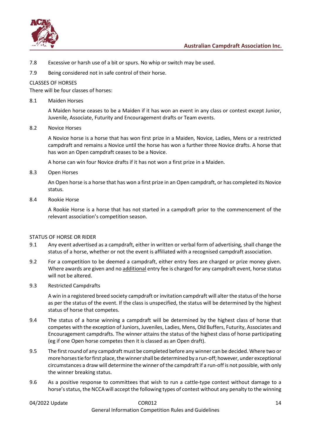

- 7.8 Excessive or harsh use of a bit or spurs. No whip or switch may be used.
- 7.9 Being considered not in safe control of their horse.

#### <span id="page-13-0"></span>CLASSES OF HORSES

There will be four classes of horses:

#### 8.1 Maiden Horses

A Maiden horse ceases to be a Maiden if it has won an event in any class or contest except Junior, Juvenile, Associate, Futurity and Encouragement drafts or Team events.

#### 8.2 Novice Horses

A Novice horse is a horse that has won first prize in a Maiden, Novice, Ladies, Mens or a restricted campdraft and remains a Novice until the horse has won a further three Novice drafts. A horse that has won an Open campdraft ceases to be a Novice.

A horse can win four Novice drafts if it has not won a first prize in a Maiden.

#### 8.3 Open Horses

An Open horse is a horse that has won a first prize in an Open campdraft, or has completed its Novice status.

#### 8.4 Rookie Horse

A Rookie Horse is a horse that has not started in a campdraft prior to the commencement of the relevant association's competition season.

#### <span id="page-13-1"></span>STATUS OF HORSE OR RIDER

- 9.1 Any event advertised as a campdraft, either in written or verbal form of advertising, shall change the status of a horse, whether or not the event is affiliated with a recognised campdraft association.
- 9.2 For a competition to be deemed a campdraft, either entry fees are charged or prize money given. Where awards are given and no additional entry fee is charged for any campdraft event, horse status will not be altered.
- 9.3 Restricted Campdrafts

A win in a registered breed society campdraft or invitation campdraft will alter the status of the horse as per the status of the event. If the class is unspecified, the status will be determined by the highest status of horse that competes.

- 9.4 The status of a horse winning a campdraft will be determined by the highest class of horse that competes with the exception of Juniors, Juveniles, Ladies, Mens, Old Buffers, Futurity, Associates and Encouragement campdrafts. The winner attains the status of the highest class of horse participating (eg if one Open horse competes then it is classed as an Open draft).
- 9.5 The first round of any campdraft must be completed before any winner can be decided. Where two or more horses tie for first place, the winner shall be determined by a run-off; however, under exceptional circumstances a draw will determine the winner of the campdraft if a run-off is not possible, with only the winner breaking status.
- 9.6 As a positive response to committees that wish to run a cattle-type contest without damage to a horse's status, the NCCA will accept the following types of contest without any penalty to the winning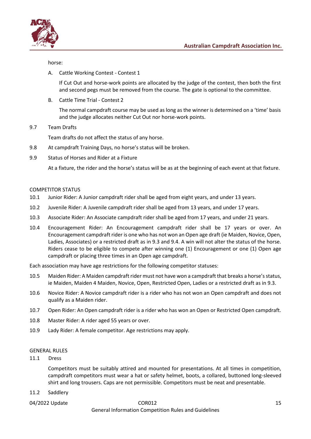

horse:

A. Cattle Working Contest - Contest 1

If Cut Out and horse-work points are allocated by the judge of the contest, then both the first and second pegs must be removed from the course. The gate is optional to the committee.

B. Cattle Time Trial - Contest 2

The normal campdraft course may be used as long as the winner is determined on a 'time' basis and the judge allocates neither Cut Out nor horse-work points.

9.7 Team Drafts

Team drafts do not affect the status of any horse.

- 9.8 At campdraft Training Days, no horse's status will be broken.
- 9.9 Status of Horses and Rider at a Fixture

At a fixture, the rider and the horse's status will be as at the beginning of each event at that fixture.

#### <span id="page-14-0"></span>COMPETITOR STATUS

- 10.1 Junior Rider: A Junior campdraft rider shall be aged from eight years, and under 13 years.
- 10.2 Juvenile Rider: A Juvenile campdraft rider shall be aged from 13 years, and under 17 years.
- 10.3 Associate Rider: An Associate campdraft rider shall be aged from 17 years, and under 21 years.
- 10.4 Encouragement Rider: An Encouragement campdraft rider shall be 17 years or over. An Encouragement campdraft rider is one who has not won an Open age draft (ie Maiden, Novice, Open, Ladies, Associates) or a restricted draft as in 9.3 and 9.4. A win will not alter the status of the horse. Riders cease to be eligible to compete after winning one (1) Encouragement or one (1) Open age campdraft or placing three times in an Open age campdraft.

Each association may have age restrictions for the following competitor statuses:

- 10.5 Maiden Rider: A Maiden campdraft rider must not have won a campdraft that breaks a horse's status, ie Maiden, Maiden 4 Maiden, Novice, Open, Restricted Open, Ladies or a restricted draft as in 9.3.
- 10.6 Novice Rider: A Novice campdraft rider is a rider who has not won an Open campdraft and does not qualify as a Maiden rider.
- 10.7 Open Rider: An Open campdraft rider is a rider who has won an Open or Restricted Open campdraft.
- 10.8 Master Rider: A rider aged 55 years or over.
- 10.9 Lady Rider: A female competitor. Age restrictions may apply.

#### <span id="page-14-1"></span>GENERAL RULES

11.1 Dress

Competitors must be suitably attired and mounted for presentations. At all times in competition, campdraft competitors must wear a hat or safety helmet, boots, a collared, buttoned long-sleeved shirt and long trousers. Caps are not permissible. Competitors must be neat and presentable.

- 11.2 Saddlery
-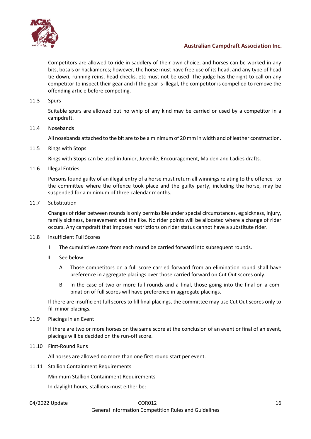

Competitors are allowed to ride in saddlery of their own choice, and horses can be worked in any bits, bosals or hackamores; however, the horse must have free use of its head, and any type of head tie-down, running reins, head checks, etc must not be used. The judge has the right to call on any competitor to inspect their gear and if the gear is illegal, the competitor is compelled to remove the offending article before competing.

#### 11.3 Spurs

Suitable spurs are allowed but no whip of any kind may be carried or used by a competitor in a campdraft.

#### 11.4 Nosebands

All nosebands attached to the bit are to be a minimum of 20 mm in width and of leather construction.

11.5 Rings with Stops

Rings with Stops can be used in Junior, Juvenile, Encouragement, Maiden and Ladies drafts.

11.6 Illegal Entries

Persons found guilty of an illegal entry of a horse must return all winnings relating to the offence to the committee where the offence took place and the guilty party, including the horse, may be suspended for a minimum of three calendar months.

11.7 Substitution

Changes of rider between rounds is only permissible under special circumstances, eg sickness, injury, family sickness, bereavement and the like. No rider points will be allocated where a change of rider occurs. Any campdraft that imposes restrictions on rider status cannot have a substitute rider.

- 11.8 Insufficient Full Scores
	- I. The cumulative score from each round be carried forward into subsequent rounds.
	- II. See below:
		- A. Those competitors on a full score carried forward from an elimination round shall have preference in aggregate placings over those carried forward on Cut Out scores only.
		- B. In the case of two or more full rounds and a final, those going into the final on a combination of full scores will have preference in aggregate placings.

If there are insufficient full scores to fill final placings, the committee may use Cut Out scores only to fill minor placings.

11.9 Placings in an Event

If there are two or more horses on the same score at the conclusion of an event or final of an event, placings will be decided on the run-off score.

11.10 First-Round Runs

All horses are allowed no more than one first round start per event.

11.11 Stallion Containment Requirements

Minimum Stallion Containment Requirements

In daylight hours, stallions must either be:

# 04/2022 Update COR012 16 General Information Competition Rules and Guidelines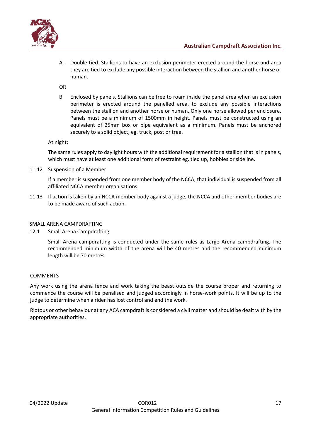

A. Double-tied. Stallions to have an exclusion perimeter erected around the horse and area they are tied to exclude any possible interaction between the stallion and another horse or human.

OR

B. Enclosed by panels. Stallions can be free to roam inside the panel area when an exclusion perimeter is erected around the panelled area, to exclude any possible interactions between the stallion and another horse or human. Only one horse allowed per enclosure. Panels must be a minimum of 1500mm in height. Panels must be constructed using an equivalent of 25mm box or pipe equivalent as a minimum. Panels must be anchored securely to a solid object, eg. truck, post or tree.

At night:

The same rules apply to daylight hours with the additional requirement for a stallion that is in panels, which must have at least one additional form of restraint eg. tied up, hobbles or sideline.

11.12 Suspension of a Member

If a member is suspended from one member body of the NCCA, that individual is suspended from all affiliated NCCA member organisations.

11.13 If action is taken by an NCCA member body against a judge, the NCCA and other member bodies are to be made aware of such action.

#### <span id="page-16-0"></span>SMALL ARENA CAMPDRAFTING

12.1 Small Arena Campdrafting

Small Arena campdrafting is conducted under the same rules as Large Arena campdrafting. The recommended minimum width of the arena will be 40 metres and the recommended minimum length will be 70 metres.

#### **COMMENTS**

Any work using the arena fence and work taking the beast outside the course proper and returning to commence the course will be penalised and judged accordingly in horse-work points. It will be up to the judge to determine when a rider has lost control and end the work.

Riotous or other behaviour at any ACA campdraft is considered a civil matter and should be dealt with by the appropriate authorities.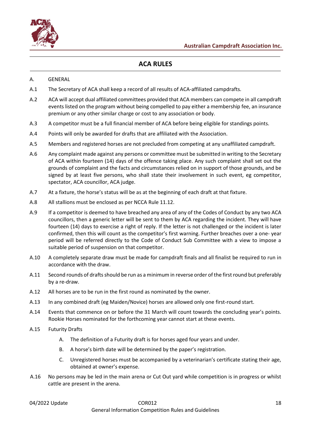

# **ACA RULES**

#### <span id="page-17-1"></span><span id="page-17-0"></span>A. GENERAL

- A.1 The Secretary of ACA shall keep a record of all results of ACA-affiliated campdrafts.
- A.2 ACA will accept dual affiliated committees provided that ACA members can compete in all campdraft events listed on the program without being compelled to pay either a membership fee, an insurance premium or any other similar charge or cost to any association or body.
- A.3 A competitor must be a full financial member of ACA before being eligible for standings points.
- A.4 Points will only be awarded for drafts that are affiliated with the Association.
- A.5 Members and registered horses are not precluded from competing at any unaffiliated campdraft.
- A.6 Any complaint made against any persons or committee must be submitted in writing to the Secretary of ACA within fourteen (14) days of the offence taking place. Any such complaint shall set out the grounds of complaint and the facts and circumstances relied on in support of those grounds, and be signed by at least five persons, who shall state their involvement in such event, eg competitor, spectator, ACA councillor, ACA judge.
- A.7 At a fixture, the horse's status will be as at the beginning of each draft at that fixture.
- A.8 All stallions must be enclosed as per NCCA Rule 11.12.
- A.9 If a competitor is deemed to have breached any area of any of the Codes of Conduct by any two ACA councillors, then a generic letter will be sent to them by ACA regarding the incident. They will have fourteen (14) days to exercise a right of reply. If the letter is not challenged or the incident is later confirmed, then this will count as the competitor's first warning. Further breaches over a one- year period will be referred directly to the Code of Conduct Sub Committee with a view to impose a suitable period of suspension on that competitor.
- A.10 A completely separate draw must be made for campdraft finals and all finalist be required to run in accordance with the draw.
- A.11 Second rounds of drafts should be run as a minimum in reverse order of the first round but preferably by a re-draw.
- A.12 All horses are to be run in the first round as nominated by the owner.
- A.13 In any combined draft (eg Maiden/Novice) horses are allowed only one first-round start.
- A.14 Events that commence on or before the 31 March will count towards the concluding year's points. Rookie Horses nominated for the forthcoming year cannot start at these events.
- A.15 Futurity Drafts
	- A. The definition of a Futurity draft is for horses aged four years and under.
	- B. A horse's birth date will be determined by the paper's registration.
	- C. Unregistered horses must be accompanied by a veterinarian's certificate stating their age, obtained at owner's expense.
- A.16 No persons may be led in the main arena or Cut Out yard while competition is in progress or whilst cattle are present in the arena.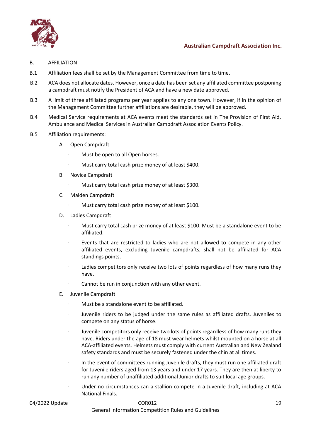

- <span id="page-18-0"></span>B. AFFILIATION
- B.1 Affiliation fees shall be set by the Management Committee from time to time.
- B.2 ACA does not allocate dates. However, once a date has been set any affiliated committee postponing a campdraft must notify the President of ACA and have a new date approved.
- B.3 A limit of three affiliated programs per year applies to any one town. However, if in the opinion of the Management Committee further affiliations are desirable, they will be approved.
- B.4 Medical Service requirements at ACA events meet the standards set in The Provision of First Aid, Ambulance and Medical Services in Australian Campdraft Association Events Policy.
- B.5 Affiliation requirements:
	- A. Open Campdraft
		- Must be open to all Open horses.
		- Must carry total cash prize money of at least \$400.
	- B. Novice Campdraft
		- Must carry total cash prize money of at least \$300.
	- C. Maiden Campdraft
		- Must carry total cash prize money of at least \$100.
	- D. Ladies Campdraft
		- Must carry total cash prize money of at least \$100. Must be a standalone event to be affiliated.
		- Events that are restricted to ladies who are not allowed to compete in any other affiliated events, excluding Juvenile campdrafts, shall not be affiliated for ACA standings points.
		- Ladies competitors only receive two lots of points regardless of how many runs they have.
		- Cannot be run in conjunction with any other event.
	- E. Juvenile Campdraft
		- · Must be a standalone event to be affiliated.
		- Juvenile riders to be judged under the same rules as affiliated drafts. Juveniles to compete on any status of horse.
		- Juvenile competitors only receive two lots of points regardless of how many runs they have. Riders under the age of 18 must wear helmets whilst mounted on a horse at all ACA-affiliated events. Helmets must comply with current Australian and New Zealand safety standards and must be securely fastened under the chin at all times.
		- · In the event of committees running Juvenile drafts, they must run one affiliated draft for Juvenile riders aged from 13 years and under 17 years. They are then at liberty to run any number of unaffiliated additional Junior drafts to suit local age groups.
		- · Under no circumstances can a stallion compete in a Juvenile draft, including at ACA National Finals.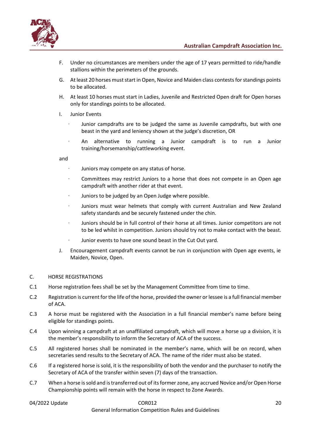



- F. Under no circumstances are members under the age of 17 years permitted to ride/handle stallions within the perimeters of the grounds.
- G. At least 20 horses must start in Open, Novice and Maiden class contests for standings points to be allocated.
- H. At least 10 horses must start in Ladies, Juvenile and Restricted Open draft for Open horses only for standings points to be allocated.
- I. Junior Events
	- · Junior campdrafts are to be judged the same as Juvenile campdrafts, but with one beast in the yard and leniency shown at the judge's discretion, OR
	- · An alternative to running a Junior campdraft is to run a Junior training/horsemanship/cattleworking event.

and

- Juniors may compete on any status of horse.
- Committees may restrict Juniors to a horse that does not compete in an Open age campdraft with another rider at that event.
- Juniors to be judged by an Open Judge where possible.
- · Juniors must wear helmets that comply with current Australian and New Zealand safety standards and be securely fastened under the chin.
- · Juniors should be in full control of their horse at all times. Junior competitors are not to be led whilst in competition. Juniors should try not to make contact with the beast.
- Junior events to have one sound beast in the Cut Out yard.
- J. Encouragement campdraft events cannot be run in conjunction with Open age events, ie Maiden, Novice, Open.

#### <span id="page-19-0"></span>C. HORSE REGISTRATIONS

- C.1 Horse registration fees shall be set by the Management Committee from time to time.
- C.2 Registration is current for the life of the horse, provided the owner or lessee is a full financial member of ACA.
- C.3 A horse must be registered with the Association in a full financial member's name before being eligible for standings points.
- C.4 Upon winning a campdraft at an unaffiliated campdraft, which will move a horse up a division, it is the member's responsibility to inform the Secretary of ACA of the success.
- C.5 All registered horses shall be nominated in the member's name, which will be on record, when secretaries send results to the Secretary of ACA. The name of the rider must also be stated.
- C.6 If a registered horse is sold, it is the responsibility of both the vendor and the purchaser to notify the Secretary of ACA of the transfer within seven (7) days of the transaction.
- C.7 When a horse is sold and is transferred out of its former zone, any accrued Novice and/or Open Horse Championship points will remain with the horse in respect to Zone Awards.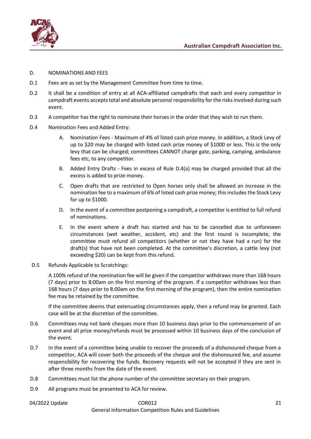

#### <span id="page-20-0"></span>D. NOMINATIONS AND FEES

- D.1 Fees are as set by the Management Committee from time to time.
- D.2 It shall be a condition of entry at all ACA-affiliated campdrafts that each and every competitor in campdraft events accepts total and absolute personal responsibility for the risks involved during such event.
- D.3 A competitor has the right to nominate their horses in the order that they wish to run them.
- D.4 Nomination Fees and Added Entry:
	- A. Nomination Fees Maximum of 4% of listed cash prize money. In addition, a Stock Levy of up to \$20 may be charged with listed cash prize money of \$1000 or less. This is the only levy that can be charged; committees CANNOT charge gate, parking, camping, ambulance fees etc, to any competitor.
	- B. Added Entry Drafts Fees in excess of Rule D.4(a) may be charged provided that all the excess is added to prize money.
	- C. Open drafts that are restricted to Open horses only shall be allowed an increase in the nomination fee to a maximum of 6% of listed cash prize money; this includes the Stock Levy for up to \$1000.
	- D. In the event of a committee postponing a campdraft, a competitor is entitled to full refund of nominations.
	- E. In the event where a draft has started and has to be cancelled due to unforeseen circumstances (wet weather, accident, etc) and the first round is incomplete, the committee must refund all competitors (whether or not they have had a run) for the draft(s) that have not been completed. At the committee's discretion, a cattle levy (not exceeding \$20) can be kept from this refund.
- D.5 Refunds Applicable to Scratchings:

A 100% refund of the nomination fee will be given if the competitor withdraws more than 168 hours (7 days) prior to 8:00am on the first morning of the program. If a competitor withdraws less than 168 hours (7 days prior to 8:00am on the first morning of the program), then the entire nomination fee may be retained by the committee.

If the committee deems that extenuating circumstances apply, then a refund may be granted. Each case will be at the discretion of the committee.

- D.6 Committees may not bank cheques more than 10 business days prior to the commencement of an event and all prize money/refunds must be processed within 10 business days of the conclusion of the event.
- D.7 In the event of a committee being unable to recover the proceeds of a dishonoured cheque from a competitor, ACA will cover both the proceeds of the cheque and the dishonoured fee, and assume responsibility for recovering the funds. Recovery requests will not be accepted if they are sent in after three months from the date of the event.
- D.8 Committees must list the phone number of the committee secretary on their program.
- D.9 All programs must be presented to ACA for review.
- 

### 04/2022 Update COR012 21 General Information Competition Rules and Guidelines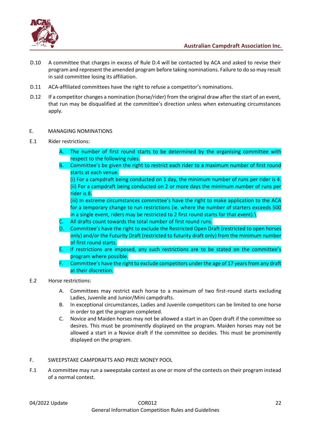

- D.10 A committee that charges in excess of Rule D.4 will be contacted by ACA and asked to revise their program and represent the amended program before taking nominations. Failure to do so may result in said committee losing its affiliation.
- D.11 ACA-affiliated committees have the right to refuse a competitor's nominations.
- D.12 If a competitor changes a nomination (horse/rider) from the original draw after the start of an event, that run may be disqualified at the committee's direction unless when extenuating circumstances apply.
- <span id="page-21-0"></span>E. MANAGING NOMINATIONS
- E.1 Rider restrictions:
	- A. The number of first round starts to be determined by the organising committee with respect to the following rules.
	- B. Committee's be given the right to restrict each rider to a maximum number of first round starts at each venue.
		- (i) For a campdraft being conducted on 1 day, the minimum number of runs per rider is 4. (ii) For a campdraft being conducted on 2 or more days the minimum number of runs per rider is 8.
		- (iii) In extreme circumstances committee's have the right to make application to the ACA for a temporary change to run restrictions (ie. where the number of starters exceeds 500 in a single event, riders may be restricted to 2 first round starts for that event). $\setminus$
	- C. All drafts count towards the total number of first round runs.
	- D. Committee's have the right to exclude the Restricted Open Draft (restricted to open horses only) and/or the Futurity Draft (restricted to futurity draft only) from the minimum number of first round starts.
	- E. If restrictions are imposed, any such restrictions are to be stated on the committee's program where possible.
	- F. Committee's have the right to exclude competitors under the age of 17 years from any draft at their discretion.
- E.2 Horse restrictions:
	- A. Committees may restrict each horse to a maximum of two first-round starts excluding Ladies, Juvenile and Junior/Mini campdrafts.
	- B. In exceptional circumstances, Ladies and Juvenile competitors can be limited to one horse in order to get the program completed.
	- C. Novice and Maiden horses may not be allowed a start in an Open draft if the committee so desires. This must be prominently displayed on the program. Maiden horses may not be allowed a start in a Novice draft if the committee so decides. This must be prominently displayed on the program.
- <span id="page-21-1"></span>F. SWEEPSTAKE CAMPDRAFTS AND PRIZE MONEY POOL
- F.1 A committee may run a sweepstake contest as one or more of the contests on their program instead of a normal contest.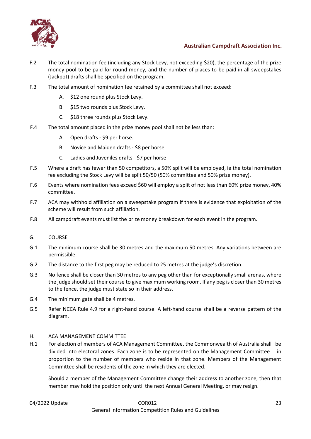

- F.2 The total nomination fee (including any Stock Levy, not exceeding \$20), the percentage of the prize money pool to be paid for round money, and the number of places to be paid in all sweepstakes (Jackpot) drafts shall be specified on the program.
- F.3 The total amount of nomination fee retained by a committee shall not exceed:
	- A. \$12 one round plus Stock Levy.
	- B. \$15 two rounds plus Stock Levy.
	- C. \$18 three rounds plus Stock Levy.
- F.4 The total amount placed in the prize money pool shall not be less than:
	- A. Open drafts \$9 per horse.
	- B. Novice and Maiden drafts \$8 per horse.
	- C. Ladies and Juveniles drafts \$7 per horse
- F.5 Where a draft has fewer than 50 competitors, a 50% split will be employed, ie the total nomination fee excluding the Stock Levy will be split 50/50 (50% committee and 50% prize money).
- F.6 Events where nomination fees exceed \$60 will employ a split of not less than 60% prize money, 40% committee.
- F.7 ACA may withhold affiliation on a sweepstake program if there is evidence that exploitation of the scheme will result from such affiliation.
- F.8 All campdraft events must list the prize money breakdown for each event in the program.
- <span id="page-22-0"></span>G. COURSE
- G.1 The minimum course shall be 30 metres and the maximum 50 metres. Any variations between are permissible.
- G.2 The distance to the first peg may be reduced to 25 metres at the judge's discretion.
- G.3 No fence shall be closer than 30 metres to any peg other than for exceptionally small arenas, where the judge should set their course to give maximum working room. If any peg is closer than 30 metres to the fence, the judge must state so in their address.
- G.4 The minimum gate shall be 4 metres.
- G.5 Refer NCCA Rule 4.9 for a right-hand course. A left-hand course shall be a reverse pattern of the diagram.

#### <span id="page-22-1"></span>H. ACA MANAGEMENT COMMITTEE

H.1 For election of members of ACA Management Committee, the Commonwealth of Australia shall be divided into electoral zones. Each zone is to be represented on the Management Committee in proportion to the number of members who reside in that zone. Members of the Management Committee shall be residents of the zone in which they are elected.

Should a member of the Management Committee change their address to another zone, then that member may hold the position only until the next Annual General Meeting, or may resign.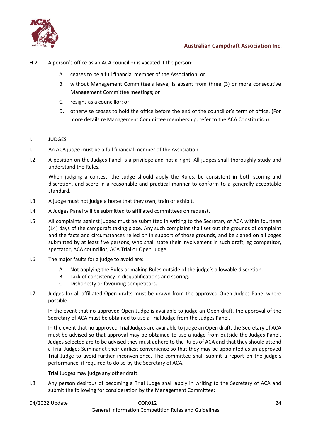

- H.2 A person's office as an ACA councillor is vacated if the person:
	- A. ceases to be a full financial member of the Association: or
	- B. without Management Committee's leave, is absent from three (3) or more consecutive Management Committee meetings; or
	- C. resigns as a councillor; or
	- D. otherwise ceases to hold the office before the end of the councillor's term of office. (For more details re Management Committee membership, refer to the ACA Constitution).

#### <span id="page-23-0"></span>I. JUDGES

- I.1 An ACA judge must be a full financial member of the Association.
- I.2 A position on the Judges Panel is a privilege and not a right. All judges shall thoroughly study and understand the Rules.

When judging a contest, the Judge should apply the Rules, be consistent in both scoring and discretion, and score in a reasonable and practical manner to conform to a generally acceptable standard.

- I.3 A judge must not judge a horse that they own, train or exhibit.
- I.4 A Judges Panel will be submitted to affiliated committees on request.
- I.5 All complaints against judges must be submitted in writing to the Secretary of ACA within fourteen (14) days of the campdraft taking place. Any such complaint shall set out the grounds of complaint and the facts and circumstances relied on in support of those grounds, and be signed on all pages submitted by at least five persons, who shall state their involvement in such draft, eg competitor, spectator, ACA councillor, ACA Trial or Open Judge.
- I.6 The major faults for a judge to avoid are:
	- A. Not applying the Rules or making Rules outside of the judge's allowable discretion.
	- B. Lack of consistency in disqualifications and scoring.
	- C. Dishonesty or favouring competitors.
- I.7 Judges for all affiliated Open drafts must be drawn from the approved Open Judges Panel where possible.

In the event that no approved Open Judge is available to judge an Open draft, the approval of the Secretary of ACA must be obtained to use a Trial Judge from the Judges Panel.

In the event that no approved Trial Judges are available to judge an Open draft, the Secretary of ACA must be advised so that approval may be obtained to use a judge from outside the Judges Panel. Judges selected are to be advised they must adhere to the Rules of ACA and that they should attend a Trial Judges Seminar at their earliest convenience so that they may be appointed as an approved Trial Judge to avoid further inconvenience. The committee shall submit a report on the judge's performance, if required to do so by the Secretary of ACA.

Trial Judges may judge any other draft.

I.8 Any person desirous of becoming a Trial Judge shall apply in writing to the Secretary of ACA and submit the following for consideration by the Management Committee:

### 04/2022 Update 24 2022 Update 2012 2022 Update 24 24 25 26 27 28 29 29 20 20 20 21 22 General Information Competition Rules and Guidelines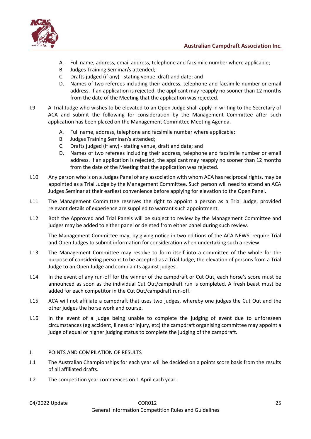



- A. Full name, address, email address, telephone and facsimile number where applicable;
- B. Judges Training Seminar/s attended;
- C. Drafts judged (if any) stating venue, draft and date; and
- D. Names of two referees including their address, telephone and facsimile number or email address. If an application is rejected, the applicant may reapply no sooner than 12 months from the date of the Meeting that the application was rejected.
- I.9 A Trial Judge who wishes to be elevated to an Open Judge shall apply in writing to the Secretary of ACA and submit the following for consideration by the Management Committee after such application has been placed on the Management Committee Meeting Agenda.
	- A. Full name, address, telephone and facsimile number where applicable;
	- B. Judges Training Seminar/s attended;
	- C. Drafts judged (if any) stating venue, draft and date; and
	- D. Names of two referees including their address, telephone and facsimile number or email address. If an application is rejected, the applicant may reapply no sooner than 12 months from the date of the Meeting that the application was rejected.
- I.10 Any person who is on a Judges Panel of any association with whom ACA has reciprocal rights, may be appointed as a Trial Judge by the Management Committee. Such person will need to attend an ACA Judges Seminar at their earliest convenience before applying for elevation to the Open Panel.
- I.11 The Management Committee reserves the right to appoint a person as a Trial Judge, provided relevant details of experience are supplied to warrant such appointment.
- I.12 Both the Approved and Trial Panels will be subject to review by the Management Committee and judges may be added to either panel or deleted from either panel during such review.

The Management Committee may, by giving notice in two editions of the ACA NEWS, require Trial and Open Judges to submit information for consideration when undertaking such a review.

- I.13 The Management Committee may resolve to form itself into a committee of the whole for the purpose of considering persons to be accepted as a Trial Judge, the elevation of persons from a Trial Judge to an Open Judge and complaints against judges.
- I.14 In the event of any run-off for the winner of the campdraft or Cut Out, each horse's score must be announced as soon as the individual Cut Out/campdraft run is completed. A fresh beast must be added for each competitor in the Cut Out/campdraft run-off.
- I.15 ACA will not affiliate a campdraft that uses two judges, whereby one judges the Cut Out and the other judges the horse work and course.
- I.16 In the event of a judge being unable to complete the judging of event due to unforeseen circumstances (eg accident, illness or injury, etc) the campdraft organising committee may appoint a judge of equal or higher judging status to complete the judging of the campdraft.

### <span id="page-24-0"></span>J. POINTS AND COMPILATION OF RESULTS

- J.1 The Australian Championships for each year will be decided on a points score basis from the results of all affiliated drafts.
- J.2 The competition year commences on 1 April each year.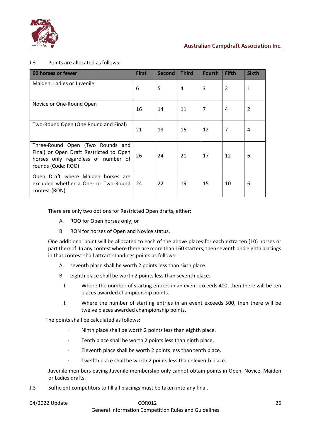

### J.3 Points are allocated as follows:

| 60 horses or fewer                                                                                                                       | <b>First</b> | <b>Second</b> | <b>Third</b> | <b>Fourth</b>  | <b>Fifth</b> | <b>Sixth</b> |
|------------------------------------------------------------------------------------------------------------------------------------------|--------------|---------------|--------------|----------------|--------------|--------------|
| Maiden, Ladies or Juvenile                                                                                                               | 6            | 5             | 4            | 3              | 2            | 1            |
| Novice or One-Round Open                                                                                                                 | 16           | 14            | 11           | $\overline{7}$ | 4            | 2            |
| Two-Round Open (One Round and Final)                                                                                                     | 21           | 19            | 16           | 12             | 7            | 4            |
| Three-Round Open (Two Rounds and<br>Final) or Open Draft Restricted to Open<br>horses only regardless of number of<br>rounds (Code: ROO) | 26           | 24            | 21           | 17             | 12           | 6            |
| Open Draft where Maiden horses are<br>excluded whether a One- or Two-Round<br>contest (RON)                                              | 24           | 22            | 19           | 15             | 10           | 6            |

There are only two options for Restricted Open drafts, either:

- A. ROO for Open horses only; or
- B. RON for horses of Open and Novice status.

One additional point will be allocated to each of the above places for each extra ten (10) horses or part thereof. In any contest where there are more than 160 starters, then seventh and eighth placings in that contest shall attract standings points as follows:

- A. seventh place shall be worth 2 points less than sixth place.
- B. eighth place shall be worth 2 points less than seventh place.
	- I. Where the number of starting entries in an event exceeds 400, then there will be ten places awarded championship points.
	- II. Where the number of starting entries in an event exceeds 500, then there will be twelve places awarded championship points.

The points shall be calculated as follows:

- Ninth place shall be worth 2 points less than eighth place.
- · Tenth place shall be worth 2 points less than ninth place.
- · Eleventh place shall be worth 2 points less than tenth place.
	- Twelfth place shall be worth 2 points less than eleventh place.

Juvenile members paying Juvenile membership only cannot obtain points in Open, Novice, Maiden or Ladies drafts.

J.3 Sufficient competitors to fill all placings must be taken into any final.

| 04/2022 Update |  |
|----------------|--|
|----------------|--|

# 04/2022 Update 26

General Information Competition Rules and Guidelines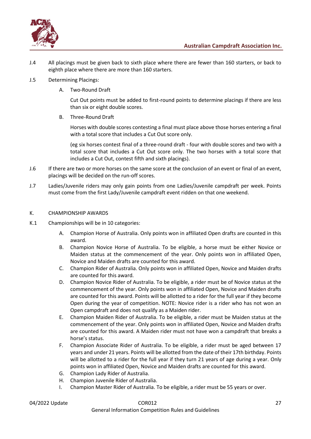

- J.4 All placings must be given back to sixth place where there are fewer than 160 starters, or back to eighth place where there are more than 160 starters.
- J.5 Determining Placings:
	- A. Two-Round Draft

Cut Out points must be added to first-round points to determine placings if there are less than six or eight double scores.

B. Three-Round Draft

Horses with double scores contesting a final must place above those horses entering a final with a total score that includes a Cut Out score only.

(eg six horses contest final of a three-round draft - four with double scores and two with a total score that includes a Cut Out score only. The two horses with a total score that includes a Cut Out, contest fifth and sixth placings).

- J.6 If there are two or more horses on the same score at the conclusion of an event or final of an event, placings will be decided on the run-off scores.
- J.7 Ladies/Juvenile riders may only gain points from one Ladies/Juvenile campdraft per week. Points must come from the first Lady/Juvenile campdraft event ridden on that one weekend.

### <span id="page-26-0"></span>K. CHAMPIONSHIP AWARDS

- K.1 Championships will be in 10 categories:
	- A. Champion Horse of Australia. Only points won in affiliated Open drafts are counted in this award.
	- B. Champion Novice Horse of Australia. To be eligible, a horse must be either Novice or Maiden status at the commencement of the year. Only points won in affiliated Open, Novice and Maiden drafts are counted for this award.
	- C. Champion Rider of Australia. Only points won in affiliated Open, Novice and Maiden drafts are counted for this award.
	- D. Champion Novice Rider of Australia. To be eligible, a rider must be of Novice status at the commencement of the year. Only points won in affiliated Open, Novice and Maiden drafts are counted for this award. Points will be allotted to a rider for the full year if they become Open during the year of competition. NOTE: Novice rider is a rider who has not won an Open campdraft and does not qualify as a Maiden rider.
	- E. Champion Maiden Rider of Australia. To be eligible, a rider must be Maiden status at the commencement of the year. Only points won in affiliated Open, Novice and Maiden drafts are counted for this award. A Maiden rider must not have won a campdraft that breaks a horse's status.
	- F. Champion Associate Rider of Australia. To be eligible, a rider must be aged between 17 years and under 21 years. Points will be allotted from the date of their 17th birthday. Points will be allotted to a rider for the full year if they turn 21 years of age during a year. Only points won in affiliated Open, Novice and Maiden drafts are counted for this award.
	- G. Champion Lady Rider of Australia.
	- H. Champion Juvenile Rider of Australia.
	- I. Champion Master Rider of Australia. To be eligible, a rider must be 55 years or over.

# 04/2022 Update COR012 27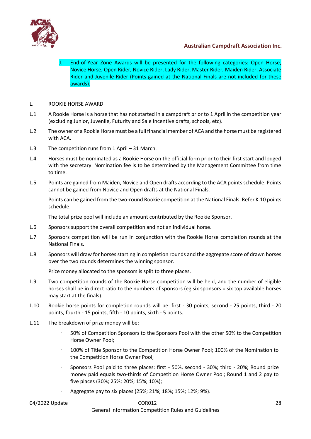

End-of-Year Zone Awards will be presented for the following categories: Open Horse, Novice Horse, Open Rider, Novice Rider, Lady Rider, Master Rider, Maiden Rider, Associate Rider and Juvenile Rider (Points gained at the National Finals are not included for these awards).

- <span id="page-27-0"></span>L. ROOKIE HORSE AWARD
- L.1 A Rookie Horse is a horse that has not started in a campdraft prior to 1 April in the competition year (excluding Junior, Juvenile, Futurity and Sale Incentive drafts, schools, etc).
- L.2 The owner of a Rookie Horse must be a full financial member of ACA and the horse must be registered with ACA.
- L.3 The competition runs from 1 April 31 March.
- L.4 Horses must be nominated as a Rookie Horse on the official form prior to their first start and lodged with the secretary. Nomination fee is to be determined by the Management Committee from time to time.
- L.5 Points are gained from Maiden, Novice and Open drafts according to the ACA points schedule. Points cannot be gained from Novice and Open drafts at the National Finals.

Points can be gained from the two-round Rookie competition at the National Finals. Refer K.10 points schedule.

The total prize pool will include an amount contributed by the Rookie Sponsor.

- L.6 Sponsors support the overall competition and not an individual horse.
- L.7 Sponsors competition will be run in conjunction with the Rookie Horse completion rounds at the National Finals.
- L.8 Sponsors will draw for horses starting in completion rounds and the aggregate score of drawn horses over the two rounds determines the winning sponsor.

Prize money allocated to the sponsors is split to three places.

- L.9 Two competition rounds of the Rookie Horse competition will be held, and the number of eligible horses shall be in direct ratio to the numbers of sponsors (eg six sponsors = six top available horses may start at the finals).
- L.10 Rookie horse points for completion rounds will be: first 30 points, second 25 points, third 20 points, fourth - 15 points, fifth - 10 points, sixth - 5 points.
- L.11 The breakdown of prize money will be:
	- 50% of Competition Sponsors to the Sponsors Pool with the other 50% to the Competition Horse Owner Pool;
	- · 100% of Title Sponsor to the Competition Horse Owner Pool; 100% of the Nomination to the Competition Horse Owner Pool;
	- · Sponsors Pool paid to three places: first 50%, second 30%; third 20%; Round prize money paid equals two-thirds of Competition Horse Owner Pool; Round 1 and 2 pay to five places (30%; 25%; 20%; 15%; 10%);
	- · Aggregate pay to six places (25%; 21%; 18%; 15%; 12%; 9%).

General Information Competition Rules and Guidelines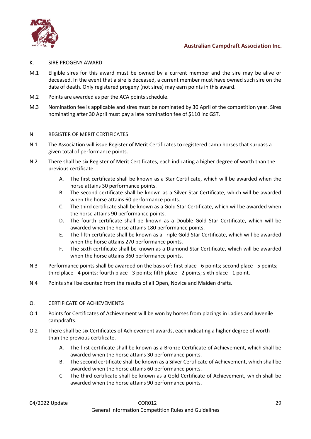

#### <span id="page-28-0"></span>K. SIRE PROGENY AWARD

- M.1 Eligible sires for this award must be owned by a current member and the sire may be alive or deceased. In the event that a sire is deceased, a current member must have owned such sire on the date of death. Only registered progeny (not sires) may earn points in this award.
- M.2 Points are awarded as per the ACA points schedule.
- M.3 Nomination fee is applicable and sires must be nominated by 30 April of the competition year. Sires nominating after 30 April must pay a late nomination fee of \$110 inc GST.

#### <span id="page-28-1"></span>N. REGISTER OF MERIT CERTIFICATES

- N.1 The Association will issue Register of Merit Certificates to registered camp horses that surpass a given total of performance points.
- N.2 There shall be six Register of Merit Certificates, each indicating a higher degree of worth than the previous certificate.
	- A. The first certificate shall be known as a Star Certificate, which will be awarded when the horse attains 30 performance points.
	- B. The second certificate shall be known as a Silver Star Certificate, which will be awarded when the horse attains 60 performance points.
	- C. The third certificate shall be known as a Gold Star Certificate, which will be awarded when the horse attains 90 performance points.
	- D. The fourth certificate shall be known as a Double Gold Star Certificate, which will be awarded when the horse attains 180 performance points.
	- E. The fifth certificate shall be known as a Triple Gold Star Certificate, which will be awarded when the horse attains 270 performance points.
	- F. The sixth certificate shall be known as a Diamond Star Certificate, which will be awarded when the horse attains 360 performance points.
- N.3 Performance points shall be awarded on the basis of: first place 6 points; second place 5 points; third place - 4 points: fourth place - 3 points; fifth place - 2 points; sixth place - 1 point.
- N.4 Points shall be counted from the results of all Open, Novice and Maiden drafts.

#### <span id="page-28-2"></span>O. CERTIFICATE OF ACHIEVEMENTS

- O.1 Points for Certificates of Achievement will be won by horses from placings in Ladies and Juvenile campdrafts.
- O.2 There shall be six Certificates of Achievement awards, each indicating a higher degree of worth than the previous certificate.
	- A. The first certificate shall be known as a Bronze Certificate of Achievement, which shall be awarded when the horse attains 30 performance points.
	- B. The second certificate shall be known as a Silver Certificate of Achievement, which shall be awarded when the horse attains 60 performance points.
	- C. The third certificate shall be known as a Gold Certificate of Achievement, which shall be awarded when the horse attains 90 performance points.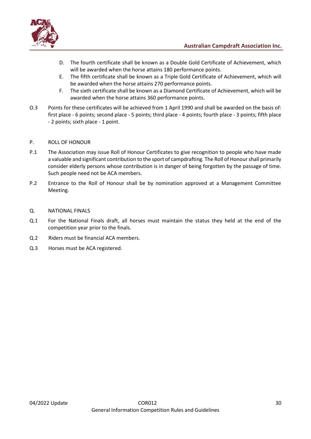



- D. The fourth certificate shall be known as a Double Gold Certificate of Achievement, which will be awarded when the horse attains 180 performance points.
- E. The fifth certificate shall be known as a Triple Gold Certificate of Achievement, which will be awarded when the horse attains 270 performance points.
- F. The sixth certificate shall be known as a Diamond Certificate of Achievement, which will be awarded when the horse attains 360 performance points.
- O.3 Points for these certificates will be achieved from 1 April 1990 and shall be awarded on the basis of: first place - 6 points; second place - 5 points; third place - 4 points; fourth place - 3 points; fifth place - 2 points; sixth place - 1 point.

### <span id="page-29-0"></span>P. ROLL OF HONOUR

- P.1 The Association may issue Roll of Honour Certificates to give recognition to people who have made a valuable and significant contribution to the sport of campdrafting. The Roll of Honour shall primarily consider elderly persons whose contribution is in danger of being forgotten by the passage of time. Such people need not be ACA members.
- P.2 Entrance to the Roll of Honour shall be by nomination approved at a Management Committee Meeting.

#### <span id="page-29-1"></span>Q. NATIONAL FINALS

- Q.1 For the National Finals draft, all horses must maintain the status they held at the end of the competition year prior to the finals.
- Q.2 Riders must be financial ACA members.
- Q.3 Horses must be ACA registered.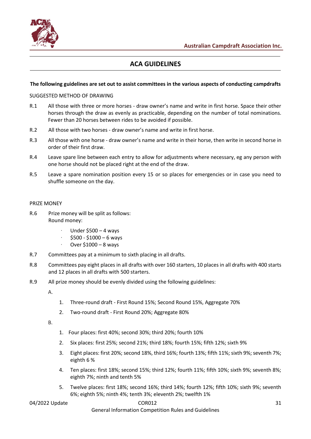

# **ACA GUIDELINES**

#### <span id="page-30-0"></span>**The following guidelines are set out to assist committees in the various aspects of conducting campdrafts**

#### <span id="page-30-1"></span>SUGGESTED METHOD OF DRAWING

- R.1 All those with three or more horses draw owner's name and write in first horse. Space their other horses through the draw as evenly as practicable, depending on the number of total nominations. Fewer than 20 horses between rides to be avoided if possible.
- R.2 All those with two horses draw owner's name and write in first horse.
- R.3 All those with one horse draw owner's name and write in their horse, then write in second horse in order of their first draw.
- R.4 Leave spare line between each entry to allow for adjustments where necessary, eg any person with one horse should not be placed right at the end of the draw.
- R.5 Leave a spare nomination position every 15 or so places for emergencies or in case you need to shuffle someone on the day.

#### <span id="page-30-2"></span>PRIZE MONEY

- R.6 Prize money will be split as follows: Round money:
	- · Under \$500 4 ways
	- $$500 $1000 6$  wavs
	- · Over \$1000 8 ways
- R.7 Committees pay at a minimum to sixth placing in all drafts.
- R.8 Committees pay eight places in all drafts with over 160 starters, 10 places in all drafts with 400 starts and 12 places in all drafts with 500 starters.
- R.9 All prize money should be evenly divided using the following guidelines:

A.

- 1. Three-round draft First Round 15%; Second Round 15%, Aggregate 70%
- 2. Two-round draft First Round 20%; Aggregate 80%

B.

- 1. Four places: first 40%; second 30%; third 20%; fourth 10%
- 2. Six places: first 25%; second 21%; third 18%; fourth 15%; fifth 12%; sixth 9%
- 3. Eight places: first 20%; second 18%, third 16%; fourth 13%; fifth 11%; sixth 9%; seventh 7%; eighth 6 %
- 4. Ten places: first 18%; second 15%; third 12%; fourth 11%; fifth 10%; sixth 9%; seventh 8%; eighth 7%; ninth and tenth 5%
- 5. Twelve places: first 18%; second 16%; third 14%; fourth 12%; fifth 10%; sixth 9%; seventh 6%; eighth 5%; ninth 4%; tenth 3%; eleventh 2%; twelfth 1%

#### 04/2022 Update COR012 31

General Information Competition Rules and Guidelines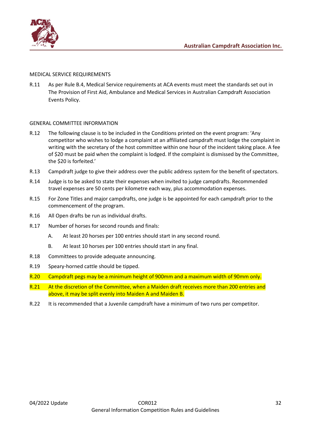

#### <span id="page-31-0"></span>MEDICAL SERVICE REQUIREMENTS

R.11 As per Rule B.4, Medical Service requirements at ACA events must meet the standards set out in The Provision of First Aid, Ambulance and Medical Services in Australian Campdraft Association Events Policy.

### <span id="page-31-1"></span>GENERAL COMMITTEE INFORMATION

- R.12 The following clause is to be included in the Conditions printed on the event program: 'Any competitor who wishes to lodge a complaint at an affiliated campdraft must lodge the complaint in writing with the secretary of the host committee within one hour of the incident taking place. A fee of \$20 must be paid when the complaint is lodged. If the complaint is dismissed by the Committee, the \$20 is forfeited.'
- R.13 Campdraft judge to give their address over the public address system for the benefit of spectators.
- R.14 Judge is to be asked to state their expenses when invited to judge campdrafts. Recommended travel expenses are 50 cents per kilometre each way, plus accommodation expenses.
- R.15 For Zone Titles and major campdrafts, one judge is be appointed for each campdraft prior to the commencement of the program.
- R.16 All Open drafts be run as individual drafts.
- R.17 Number of horses for second rounds and finals:
	- A. At least 20 horses per 100 entries should start in any second round.
	- B. At least 10 horses per 100 entries should start in any final.
- R.18 Committees to provide adequate announcing.
- R.19 Speary-horned cattle should be tipped.
- R.20 Campdraft pegs may be a minimum height of 900mm and a maximum width of 90mm only.
- R.21 At the discretion of the Committee, when a Maiden draft receives more than 200 entries and above, it may be split evenly into Maiden A and Maiden B.
- R.22 It is recommended that a Juvenile campdraft have a minimum of two runs per competitor.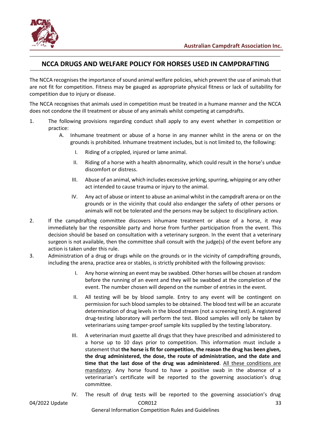

# <span id="page-32-0"></span>**NCCA DRUGS AND WELFARE POLICY FOR HORSES USED IN CAMPDRAFTING**

The NCCA recognises the importance of sound animal welfare policies, which prevent the use of animals that are not fit for competition. Fitness may be gauged as appropriate physical fitness or lack of suitability for competition due to injury or disease.

The NCCA recognises that animals used in competition must be treated in a humane manner and the NCCA does not condone the ill treatment or abuse of any animals whilst competing at campdrafts.

- 1. The following provisions regarding conduct shall apply to any event whether in competition or practice:
	- A. Inhumane treatment or abuse of a horse in any manner whilst in the arena or on the grounds is prohibited. Inhumane treatment includes, but is not limited to, the following:
		- I. Riding of a crippled, injured or lame animal.
		- II. Riding of a horse with a health abnormality, which could result in the horse's undue discomfort or distress.
		- III. Abuse of an animal, which includes excessive jerking, spurring, whipping or any other act intended to cause trauma or injury to the animal.
		- IV. Any act of abuse or intent to abuse an animal whilst in the campdraft arena or on the grounds or in the vicinity that could also endanger the safety of other persons or animals will not be tolerated and the persons may be subject to disciplinary action.
- 2. If the campdrafting committee discovers inhumane treatment or abuse of a horse, it may immediately bar the responsible party and horse from further participation from the event. This decision should be based on consultation with a veterinary surgeon. In the event that a veterinary surgeon is not available, then the committee shall consult with the judge(s) of the event before any action is taken under this rule.
- 3. Administration of a drug or drugs while on the grounds or in the vicinity of campdrafting grounds, including the arena, practice area or stables, is strictly prohibited with the following provisos:
	- I. Any horse winning an event may be swabbed. Other horses will be chosen at random before the running of an event and they will be swabbed at the completion of the event. The number chosen will depend on the number of entries in the event.
	- II. All testing will be by blood sample. Entry to any event will be contingent on permission for such blood samples to be obtained. The blood test will be an accurate determination of drug levels in the blood stream (not a screening test). A registered drug-testing laboratory will perform the test. Blood samples will only be taken by veterinarians using tamper-proof sample kits supplied by the testing laboratory.
	- III. A veterinarian must gazette all drugs that they have prescribed and administered to a horse up to 10 days prior to competition. This information must include a statement that **the horse is fit for competition, the reason the drug has been given, the drug administered, the dose, the route of administration, and the date and time that the last dose of the drug was administered**. All these conditions are mandatory. Any horse found to have a positive swab in the absence of a veterinarian's certificate will be reported to the governing association's drug committee.
- 04/2022 Update 33 and 2012 COR012 33 and 2012 33 and 2012 33 and 2012 33 and 2013 10:30 and 2013 10:30 and 201 IV. The result of drug tests will be reported to the governing association's drug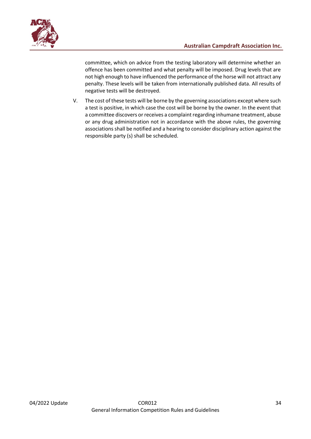

committee, which on advice from the testing laboratory will determine whether an offence has been committed and what penalty will be imposed. Drug levels that are not high enough to have influenced the performance of the horse will not attract any penalty. These levels will be taken from internationally published data. All results of negative tests will be destroyed.

V. The cost of these tests will be borne by the governing associations except where such a test is positive, in which case the cost will be borne by the owner. In the event that a committee discovers or receives a complaint regarding inhumane treatment, abuse or any drug administration not in accordance with the above rules, the governing associations shall be notified and a hearing to consider disciplinary action against the responsible party (s) shall be scheduled.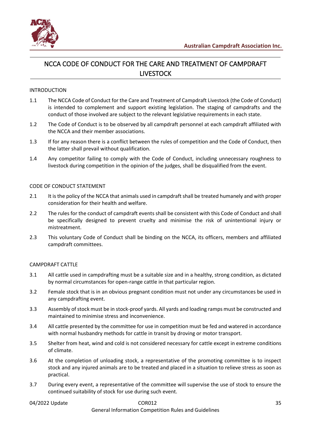

# <span id="page-34-0"></span>NCCA CODE OF CONDUCT FOR THE CARE AND TREATMENT OF CAMPDRAFT LIVESTOCK

#### INTRODUCTION

- 1.1 The NCCA Code of Conduct for the Care and Treatment of Campdraft Livestock (the Code of Conduct) is intended to complement and support existing legislation. The staging of campdrafts and the conduct of those involved are subject to the relevant legislative requirements in each state.
- 1.2 The Code of Conduct is to be observed by all campdraft personnel at each campdraft affiliated with the NCCA and their member associations.
- 1.3 If for any reason there is a conflict between the rules of competition and the Code of Conduct, then the latter shall prevail without qualification.
- 1.4 Any competitor failing to comply with the Code of Conduct, including unnecessary roughness to livestock during competition in the opinion of the judges, shall be disqualified from the event.

#### CODE OF CONDUCT STATEMENT

- 2.1 It is the policy of the NCCA that animals used in campdraft shall be treated humanely and with proper consideration for their health and welfare.
- 2.2 The rules for the conduct of campdraft events shall be consistent with this Code of Conduct and shall be specifically designed to prevent cruelty and minimise the risk of unintentional injury or mistreatment.
- 2.3 This voluntary Code of Conduct shall be binding on the NCCA, its officers, members and affiliated campdraft committees.

#### CAMPDRAFT CATTLE

- 3.1 All cattle used in campdrafting must be a suitable size and in a healthy, strong condition, as dictated by normal circumstances for open-range cattle in that particular region.
- 3.2 Female stock that is in an obvious pregnant condition must not under any circumstances be used in any campdrafting event.
- 3.3 Assembly of stock must be in stock-proof yards. All yards and loading ramps must be constructed and maintained to minimise stress and inconvenience.
- 3.4 All cattle presented by the committee for use in competition must be fed and watered in accordance with normal husbandry methods for cattle in transit by droving or motor transport.
- 3.5 Shelter from heat, wind and cold is not considered necessary for cattle except in extreme conditions of climate.
- 3.6 At the completion of unloading stock, a representative of the promoting committee is to inspect stock and any injured animals are to be treated and placed in a situation to relieve stress as soon as practical.
- 3.7 During every event, a representative of the committee will supervise the use of stock to ensure the continued suitability of stock for use during such event.

# 04/2022 Update 25 2020 2020 2021 2022 2022 2020 204/2022 205

General Information Competition Rules and Guidelines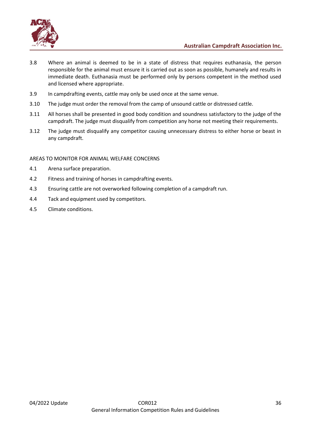

- 3.8 Where an animal is deemed to be in a state of distress that requires euthanasia, the person responsible for the animal must ensure it is carried out as soon as possible, humanely and results in immediate death. Euthanasia must be performed only by persons competent in the method used and licensed where appropriate.
- 3.9 In campdrafting events, cattle may only be used once at the same venue.
- 3.10 The judge must order the removal from the camp of unsound cattle or distressed cattle.
- 3.11 All horses shall be presented in good body condition and soundness satisfactory to the judge of the campdraft. The judge must disqualify from competition any horse not meeting their requirements.
- 3.12 The judge must disqualify any competitor causing unnecessary distress to either horse or beast in any campdraft.

#### AREAS TO MONITOR FOR ANIMAL WELFARE CONCERNS

- 4.1 Arena surface preparation.
- 4.2 Fitness and training of horses in campdrafting events.
- 4.3 Ensuring cattle are not overworked following completion of a campdraft run.
- 4.4 Tack and equipment used by competitors.
- 4.5 Climate conditions.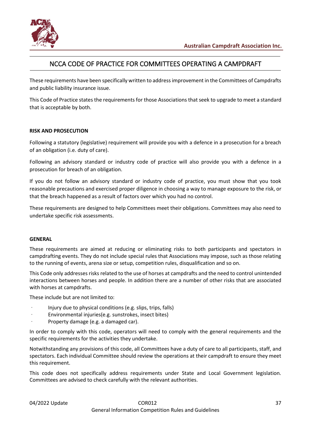

# NCCA CODE OF PRACTICE FOR COMMITTEES OPERATING A CAMPDRAFT

<span id="page-36-0"></span>These requirements have been specifically written to address improvement in the Committees of Campdrafts and public liability insurance issue.

This Code of Practice states the requirements for those Associations that seek to upgrade to meet a standard that is acceptable by both.

### **RISK AND PROSECUTION**

Following a statutory (legislative) requirement will provide you with a defence in a prosecution for a breach of an obligation (i.e. duty of care).

Following an advisory standard or industry code of practice will also provide you with a defence in a prosecution for breach of an obligation.

If you do not follow an advisory standard or industry code of practice, you must show that you took reasonable precautions and exercised proper diligence in choosing a way to manage exposure to the risk, or that the breach happened as a result of factors over which you had no control.

These requirements are designed to help Committees meet their obligations. Committees may also need to undertake specific risk assessments.

### **GENERAL**

These requirements are aimed at reducing or eliminating risks to both participants and spectators in campdrafting events. They do not include special rules that Associations may impose, such as those relating to the running of events, arena size or setup, competition rules, disqualification and so on.

This Code only addresses risks related to the use of horses at campdrafts and the need to control unintended interactions between horses and people. In addition there are a number of other risks that are associated with horses at campdrafts.

These include but are not limited to:

- · Injury due to physical conditions (e.g. slips, trips, falls)
- Environmental injuries(e.g. sunstrokes, insect bites)
- · Property damage (e.g. a damaged car).

In order to comply with this code, operators will need to comply with the general requirements and the specific requirements for the activities they undertake.

Notwithstanding any provisions of this code, all Committees have a duty of care to all participants, staff, and spectators. Each individual Committee should review the operations at their campdraft to ensure they meet this requirement.

This code does not specifically address requirements under State and Local Government legislation. Committees are advised to check carefully with the relevant authorities.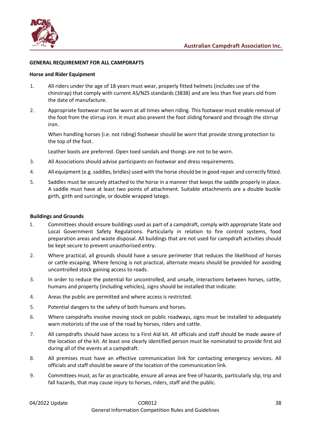

#### **GENERAL REQUIREMENT FOR ALL CAMPDRAFTS**

#### **Horse and Rider Equipment**

- 1. All riders under the age of 18 years must wear, properly fitted helmets (includes use of the chinstrap) that comply with current AS/NZS standards (3838) and are less than five years old from the date of manufacture.
- 2. Appropriate footwear must be worn at all times when riding. This footwear must enable removal of the foot from the stirrup iron. It must also prevent the foot sliding forward and through the stirrup iron.

When handling horses (i.e. not riding) footwear should be worn that provide strong protection to the top of the foot.

Leather boots are preferred. Open toed sandals and thongs are not to be worn.

- 3. All Associations should advise participants on footwear and dress requirements.
- 4. All equipment (e.g. saddles, bridles) used with the horse should be in good repair and correctly fitted.
- 5. Saddles must be securely attached to the horse in a manner that keeps the saddle properly in place. A saddle must have at least two points of attachment. Suitable attachments are a double buckle girth, girth and surcingle, or double wrapped latego.

#### **Buildings and Grounds**

- 1. Committees should ensure buildings used as part of a campdraft, comply with appropriate State and Local Government Safety Regulations. Particularly in relation to fire control systems, food preparation areas and waste disposal. All buildings that are not used for campdraft activities should be kept secure to prevent unauthorised entry.
- 2. Where practical, all grounds should have a secure perimeter that reduces the likelihood of horses or cattle escaping. Where fencing is not practical, alternate means should be provided for avoiding uncontrolled stock gaining access to roads.
- 3. In order to reduce the potential for uncontrolled, and unsafe, interactions between horses, cattle, humans and property (including vehicles), signs should be installed that indicate:
- 4. Areas the public are permitted and where access is restricted.
- 5. Potential dangers to the safety of both humans and horses.
- 6. Where campdrafts involve moving stock on public roadways, signs must be installed to adequately warn motorists of the use of the road by horses, riders and cattle.
- 7. All campdrafts should have access to a First Aid kit. All officials and staff should be made aware of the location of the kit. At least one clearly identified person must be nominated to provide first aid during all of the events at a campdraft.
- 8. All premises must have an effective communication link for contacting emergency services. All officials and staff should be aware of the location of the communication link.
- 9. Committees must, as far as practicable, ensure all areas are free of hazards, particularly slip, trip and fall hazards, that may cause injury to horses, riders, staff and the public.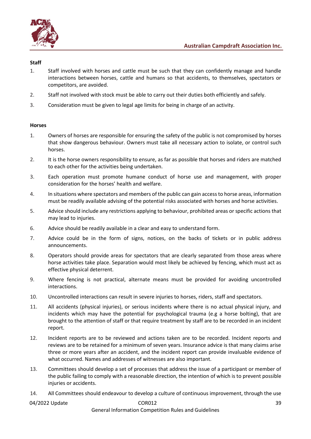

#### **Staff**

- 1. Staff involved with horses and cattle must be such that they can confidently manage and handle interactions between horses, cattle and humans so that accidents, to themselves, spectators or competitors, are avoided.
- 2. Staff not involved with stock must be able to carry out their duties both efficiently and safely.
- 3. Consideration must be given to legal age limits for being in charge of an activity.

#### **Horses**

- 1. Owners of horses are responsible for ensuring the safety of the public is not compromised by horses that show dangerous behaviour. Owners must take all necessary action to isolate, or control such horses.
- 2. It is the horse owners responsibility to ensure, as far as possible that horses and riders are matched to each other for the activities being undertaken.
- 3. Each operation must promote humane conduct of horse use and management, with proper consideration for the horses' health and welfare.
- 4. In situations where spectators and members of the public can gain access to horse areas, information must be readily available advising of the potential risks associated with horses and horse activities.
- 5. Advice should include any restrictions applying to behaviour, prohibited areas or specific actions that may lead to injuries.
- 6. Advice should be readily available in a clear and easy to understand form.
- 7. Advice could be in the form of signs, notices, on the backs of tickets or in public address announcements.
- 8. Operators should provide areas for spectators that are clearly separated from those areas where horse activities take place. Separation would most likely be achieved by fencing, which must act as effective physical deterrent.
- 9. Where fencing is not practical, alternate means must be provided for avoiding uncontrolled interactions.
- 10. Uncontrolled interactions can result in severe injuries to horses, riders, staff and spectators.
- 11. All accidents (physical injuries), or serious incidents where there is no actual physical injury, and incidents which may have the potential for psychological trauma (e.g a horse bolting), that are brought to the attention of staff or that require treatment by staff are to be recorded in an incident report.
- 12. Incident reports are to be reviewed and actions taken are to be recorded. Incident reports and reviews are to be retained for a minimum of seven years. Insurance advice is that many claims arise three or more years after an accident, and the incident report can provide invaluable evidence of what occurred. Names and addresses of witnesses are also important.
- 13. Committees should develop a set of processes that address the issue of a participant or member of the public failing to comply with a reasonable direction, the intention of which is to prevent possible injuries or accidents.
- 14. All Committees should endeavour to develop a culture of continuous improvement, through the use

### 04/2022 Update 39

#### General Information Competition Rules and Guidelines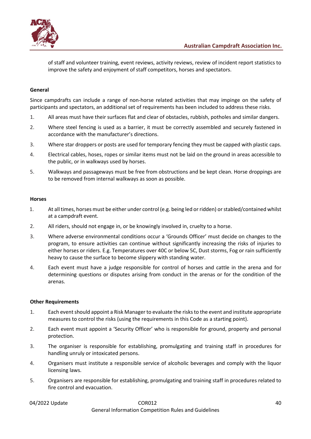

of staff and volunteer training, event reviews, activity reviews, review of incident report statistics to improve the safety and enjoyment of staff competitors, horses and spectators.

### **General**

Since campdrafts can include a range of non-horse related activities that may impinge on the safety of participants and spectators, an additional set of requirements has been included to address these risks.

- 1. All areas must have their surfaces flat and clear of obstacles, rubbish, potholes and similar dangers.
- 2. Where steel fencing is used as a barrier, it must be correctly assembled and securely fastened in accordance with the manufacturer's directions.
- 3. Where star droppers or posts are used for temporary fencing they must be capped with plastic caps.
- 4. Electrical cables, hoses, ropes or similar items must not be laid on the ground in areas accessible to the public, or in walkways used by horses.
- 5. Walkways and passageways must be free from obstructions and be kept clean. Horse droppings are to be removed from internal walkways as soon as possible.

#### **Horses**

- 1. At all times, horses must be either under control (e.g. being led or ridden) or stabled/contained whilst at a campdraft event.
- 2. All riders, should not engage in, or be knowingly involved in, cruelty to a horse.
- 3. Where adverse environmental conditions occur a 'Grounds Officer' must decide on changes to the program, to ensure activities can continue without significantly increasing the risks of injuries to either horses or riders. E.g. Temperatures over 40C or below 5C, Dust storms, Fog or rain sufficiently heavy to cause the surface to become slippery with standing water.
- 4. Each event must have a judge responsible for control of horses and cattle in the arena and for determining questions or disputes arising from conduct in the arenas or for the condition of the arenas.

#### **Other Requirements**

- 1. Each event should appoint a Risk Manager to evaluate the risks to the event and institute appropriate measures to control the risks (using the requirements in this Code as a starting point).
- 2. Each event must appoint a 'Security Officer' who is responsible for ground, property and personal protection.
- 3. The organiser is responsible for establishing, promulgating and training staff in procedures for handling unruly or intoxicated persons.
- 4. Organisers must institute a responsible service of alcoholic beverages and comply with the liquor licensing laws.
- 5. Organisers are responsible for establishing, promulgating and training staff in procedures related to fire control and evacuation.

### 04/2022 Update 40 and 2008012 and 2008012 and 2008012 and 2008012 and 2008012 General Information Competition Rules and Guidelines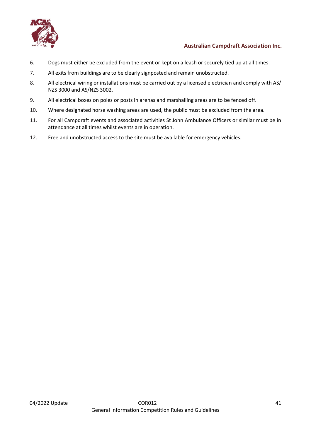

- 6. Dogs must either be excluded from the event or kept on a leash or securely tied up at all times.
- 7. All exits from buildings are to be clearly signposted and remain unobstructed.
- 8. All electrical wiring or installations must be carried out by a licensed electrician and comply with AS/ NZS 3000 and AS/NZS 3002.
- 9. All electrical boxes on poles or posts in arenas and marshalling areas are to be fenced off.
- 10. Where designated horse washing areas are used, the public must be excluded from the area.
- 11. For all Campdraft events and associated activities St John Ambulance Officers or similar must be in attendance at all times whilst events are in operation.
- 12. Free and unobstructed access to the site must be available for emergency vehicles.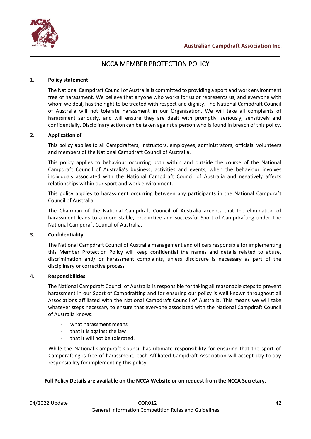

# NCCA MEMBER PROTECTION POLICY

#### <span id="page-41-0"></span>**1. Policy statement**

The National Campdraft Council of Australia is committed to providing a sport and work environment free of harassment. We believe that anyone who works for us or represents us, and everyone with whom we deal, has the right to be treated with respect and dignity. The National Campdraft Council of Australia will not tolerate harassment in our Organisation. We will take all complaints of harassment seriously, and will ensure they are dealt with promptly, seriously, sensitively and confidentially. Disciplinary action can be taken against a person who is found in breach of this policy.

#### **2. Application of**

This policy applies to all Campdrafters, Instructors, employees, administrators, officials, volunteers and members of the National Campdraft Council of Australia.

This policy applies to behaviour occurring both within and outside the course of the National Campdraft Council of Australia's business, activities and events, when the behaviour involves individuals associated with the National Campdraft Council of Australia and negatively affects relationships within our sport and work environment.

This policy applies to harassment occurring between any participants in the National Campdraft Council of Australia

The Chairman of the National Campdraft Council of Australia accepts that the elimination of harassment leads to a more stable, productive and successful Sport of Campdrafting under The National Campdraft Council of Australia.

#### **3. Confidentiality**

The National Campdraft Council of Australia management and officers responsible for implementing this Member Protection Policy will keep confidential the names and details related to abuse, discrimination and/ or harassment complaints, unless disclosure is necessary as part of the disciplinary or corrective process

#### **4. Responsibilities**

The National Campdraft Council of Australia is responsible for taking all reasonable steps to prevent harassment in our Sport of Campdrafting and for ensuring our policy is well known throughout all Associations affiliated with the National Campdraft Council of Australia. This means we will take whatever steps necessary to ensure that everyone associated with the National Campdraft Council of Australia knows:

- what harassment means
- · that it is against the law
- that it will not be tolerated.

While the National Campdraft Council has ultimate responsibility for ensuring that the sport of Campdrafting is free of harassment, each Affiliated Campdraft Association will accept day-to-day responsibility for implementing this policy.

#### **Full Policy Details are available on the NCCA Website or on request from the NCCA Secretary.**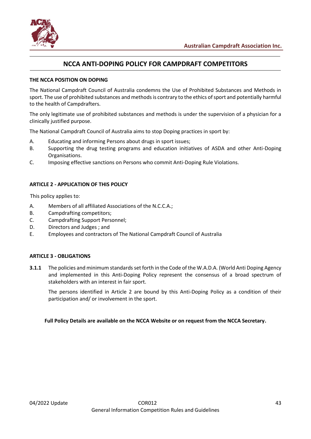

# **NCCA ANTI-DOPING POLICY FOR CAMPDRAFT COMPETITORS**

#### <span id="page-42-0"></span>**THE NCCA POSITION ON DOPING**

The National Campdraft Council of Australia condemns the Use of Prohibited Substances and Methods in sport. The use of prohibited substances and methods is contrary to the ethics of sport and potentially harmful to the health of Campdrafters.

The only legitimate use of prohibited substances and methods is under the supervision of a physician for a clinically justified purpose.

The National Campdraft Council of Australia aims to stop Doping practices in sport by:

- A. Educating and informing Persons about drugs in sport issues;
- B. Supporting the drug testing programs and education initiatives of ASDA and other Anti-Doping Organisations.
- C. Imposing effective sanctions on Persons who commit Anti-Doping Rule Violations.

### **ARTICLE 2 - APPLICATION OF THIS POLICY**

This policy applies to:

- A. Members of all affiliated Associations of the N.C.C.A.;
- B. Campdrafting competitors;
- C. Campdrafting Support Personnel;
- D. Directors and Judges ; and
- E. Employees and contractors of The National Campdraft Council of Australia

#### **ARTICLE 3 - OBLIGATIONS**

**3.1.1** The policies and minimum standards set forth in the Code of the W.A.D.A. (World Anti Doping Agency and implemented in this Anti-Doping Policy represent the consensus of a broad spectrum of stakeholders with an interest in fair sport.

The persons identified in Article 2 are bound by this Anti-Doping Policy as a condition of their participation and/ or involvement in the sport.

**Full Policy Details are available on the NCCA Website or on request from the NCCA Secretary.**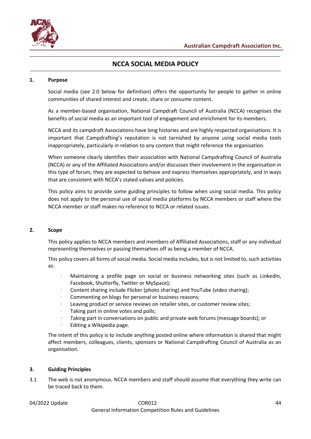

# **NCCA SOCIAL MEDIA POLICY**

#### <span id="page-43-0"></span>**1. Purpose**

Social media (see 2.0 below for definition) offers the opportunity for people to gather in online communities of shared interest and create, share or consume content.

As a member-based organisation, National Campdraft Council of Australia (NCCA) recognises the benefits of social media as an important tool of engagement and enrichment for its members.

NCCA and its campdraft Associations have long histories and are highly respected organisations. It is important that Campdrafting's reputation is not tarnished by anyone using social media tools inappropriately, particularly in relation to any content that might reference the organisation.

When someone clearly identifies their association with National Campdrafting Council of Australia (NCCA) or any of the Affiliated Associations and/or discusses their involvement in the organisation in this type of forum, they are expected to behave and express themselves appropriately, and in ways that are consistent with NCCA's stated values and policies.

This policy aims to provide some guiding principles to follow when using social media. This policy does not apply to the personal use of social media platforms by NCCA members or staff where the NCCA member or staff makes no reference to NCCA or related issues.

#### **2. Scope**

This policy applies to NCCA members and members of Affiliated Associations, staff or any individual representing themselves or passing themselves off as being a member of NCCA.

This policy covers all forms of social media. Social media includes, but is not limited to, such activities as:

- Maintaining a profile page on social or business networking sites (such as LinkedIn, Facebook, Shutterfly, Twitter or MySpace);
- · Content sharing include Flicker (photo sharing) and YouTube (video sharing);
- Commenting on blogs for personal or business reasons;
- Leaving product or service reviews on retailer sites, or customer review sites;
- Taking part in online votes and polls;
- Taking part in conversations on public and private web forums (message boards); or
- · Editing a Wikipedia page.

The intent of this policy is to include anything posted online where information is shared that might affect members, colleagues, clients, sponsors or National Campdrafting Council of Australia as an organisation.

#### **3. Guiding Principles**

3.1 The web is not anonymous. NCCA members and staff should assume that everything they write can be traced back to them.

#### 04/2022 Update COR012 44 General Information Competition Rules and Guidelines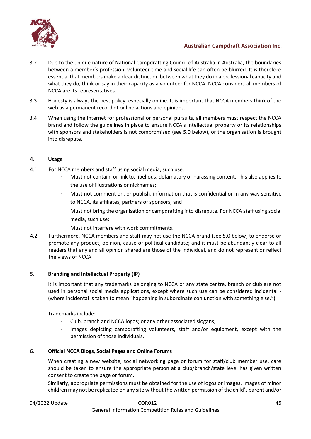

- 3.2 Due to the unique nature of National Campdrafting Council of Australia in Australia, the boundaries between a member's profession, volunteer time and social life can often be blurred. It is therefore essential that members make a clear distinction between what they do in a professional capacity and what they do, think or say in their capacity as a volunteer for NCCA. NCCA considers all members of NCCA are its representatives.
- 3.3 Honesty is always the best policy, especially online. It is important that NCCA members think of the web as a permanent record of online actions and opinions.
- 3.4 When using the Internet for professional or personal pursuits, all members must respect the NCCA brand and follow the guidelines in place to ensure NCCA's intellectual property or its relationships with sponsors and stakeholders is not compromised (see 5.0 below), or the organisation is brought into disrepute.

### **4. Usage**

- 4.1 For NCCA members and staff using social media, such use:
	- · Must not contain, or link to, libellous, defamatory or harassing content. This also applies to the use of illustrations or nicknames;
	- · Must not comment on, or publish, information that is confidential or in any way sensitive to NCCA, its affiliates, partners or sponsors; and
	- Must not bring the organisation or campdrafting into disrepute. For NCCA staff using social media, such use:
	- Must not interfere with work commitments.
- 4.2 Furthermore, NCCA members and staff may not use the NCCA brand (see 5.0 below) to endorse or promote any product, opinion, cause or political candidate; and it must be abundantly clear to all readers that any and all opinion shared are those of the individual, and do not represent or reflect the views of NCCA.

### **5. Branding and Intellectual Property (IP)**

It is important that any trademarks belonging to NCCA or any state centre, branch or club are not used in personal social media applications, except where such use can be considered incidental - (where incidental is taken to mean "happening in subordinate conjunction with something else.").

Trademarks include:

- · Club, branch and NCCA logos; or any other associated slogans;
- · Images depicting campdrafting volunteers, staff and/or equipment, except with the permission of those individuals.

### **6. Official NCCA Blogs, Social Pages and Online Forums**

When creating a new website, social networking page or forum for staff/club member use, care should be taken to ensure the appropriate person at a club/branch/state level has given written consent to create the page or forum.

Similarly, appropriate permissions must be obtained for the use of logos or images. Images of minor children may not be replicated on any site without the written permission of the child's parent and/or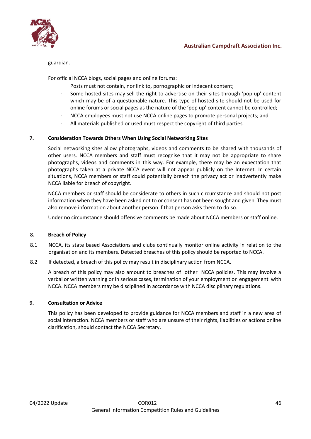

#### guardian.

For official NCCA blogs, social pages and online forums:

- Posts must not contain, nor link to, pornographic or indecent content;
- Some hosted sites may sell the right to advertise on their sites through 'pop up' content which may be of a questionable nature. This type of hosted site should not be used for online forums or social pages as the nature of the 'pop up' content cannot be controlled;
- · NCCA employees must not use NCCA online pages to promote personal projects; and
- All materials published or used must respect the copyright of third parties.

#### **7. Consideration Towards Others When Using Social Networking Sites**

Social networking sites allow photographs, videos and comments to be shared with thousands of other users. NCCA members and staff must recognise that it may not be appropriate to share photographs, videos and comments in this way. For example, there may be an expectation that photographs taken at a private NCCA event will not appear publicly on the Internet. In certain situations, NCCA members or staff could potentially breach the privacy act or inadvertently make NCCA liable for breach of copyright.

NCCA members or staff should be considerate to others in such circumstance and should not post information when they have been asked not to or consent has not been sought and given. They must also remove information about another person if that person asks them to do so.

Under no circumstance should offensive comments be made about NCCA members or staff online.

#### **8. Breach of Policy**

- 8.1 NCCA, its state based Associations and clubs continually monitor online activity in relation to the organisation and its members. Detected breaches of this policy should be reported to NCCA.
- 8.2 If detected, a breach of this policy may result in disciplinary action from NCCA.

A breach of this policy may also amount to breaches of other NCCA policies. This may involve a verbal or written warning or in serious cases, termination of your employment or engagement with NCCA. NCCA members may be disciplined in accordance with NCCA disciplinary regulations.

#### **9. Consultation or Advice**

This policy has been developed to provide guidance for NCCA members and staff in a new area of social interaction. NCCA members or staff who are unsure of their rights, liabilities or actions online clarification, should contact the NCCA Secretary.